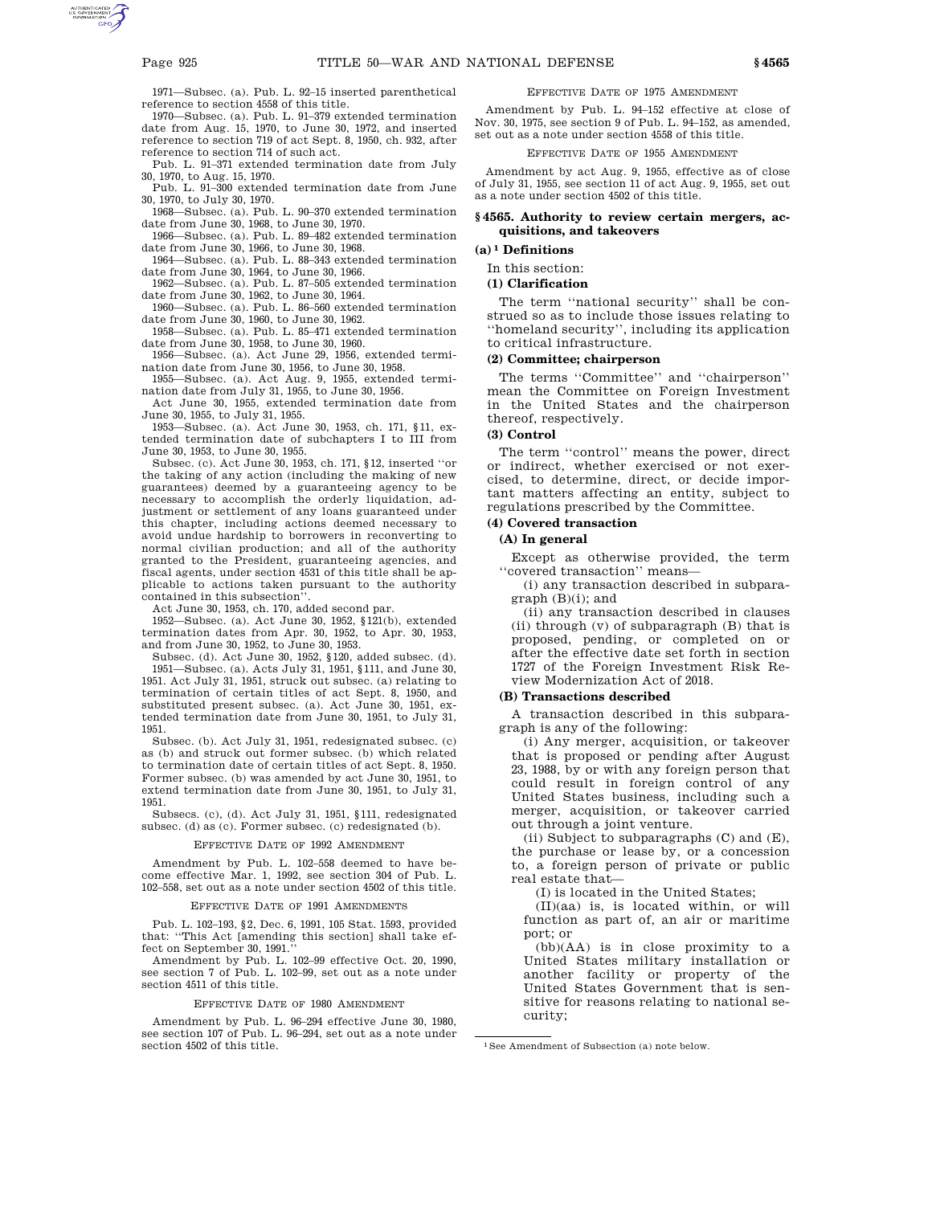1971—Subsec. (a). Pub. L. 92–15 inserted parenthetical reference to section 4558 of this title.

1970—Subsec. (a). Pub. L. 91–379 extended termination date from Aug. 15, 1970, to June 30, 1972, and inserted reference to section 719 of act Sept. 8, 1950, ch. 932, after reference to section 714 of such act.

Pub. L. 91–371 extended termination date from July 30, 1970, to Aug. 15, 1970.

Pub. L. 91–300 extended termination date from June 30, 1970, to July 30, 1970.

1968—Subsec. (a). Pub. L. 90–370 extended termination date from June 30, 1968, to June 30, 1970.

1966—Subsec. (a). Pub. L. 89–482 extended termination date from June 30, 1966, to June 30, 1968.

1964—Subsec. (a). Pub. L. 88–343 extended termination date from June 30, 1964, to June 30, 1966.

1962—Subsec. (a). Pub. L. 87–505 extended termination date from June 30, 1962, to June 30, 1964.

1960—Subsec. (a). Pub. L. 86–560 extended termination date from June 30, 1960, to June 30, 1962.

1958—Subsec. (a). Pub. L. 85–471 extended termination date from June 30, 1958, to June 30, 1960.

1956—Subsec. (a). Act June 29, 1956, extended termination date from June 30, 1956, to June 30, 1958.

1955—Subsec. (a). Act Aug. 9, 1955, extended termination date from July 31, 1955, to June 30, 1956.

Act June 30, 1955, extended termination date from June 30, 1955, to July 31, 1955.

1953—Subsec. (a). Act June 30, 1953, ch. 171, §11, extended termination date of subchapters I to III from June 30, 1953, to June 30, 1955.

Subsec. (c). Act June 30, 1953, ch. 171, §12, inserted ''or the taking of any action (including the making of new guarantees) deemed by a guaranteeing agency to be necessary to accomplish the orderly liquidation, adjustment or settlement of any loans guaranteed under this chapter, including actions deemed necessary to avoid undue hardship to borrowers in reconverting to normal civilian production; and all of the authority granted to the President, guaranteeing agencies, and fiscal agents, under section 4531 of this title shall be applicable to actions taken pursuant to the authority contained in this subsection''.

Act June 30, 1953, ch. 170, added second par.

1952—Subsec. (a). Act June 30, 1952, §121(b), extended termination dates from Apr. 30, 1952, to Apr. 30, 1953, and from June 30, 1952, to June 30, 1953.

Subsec. (d). Act June 30, 1952, §120, added subsec. (d). 1951—Subsec. (a). Acts July 31, 1951, §111, and June 30, 1951. Act July 31, 1951, struck out subsec. (a) relating to termination of certain titles of act Sept. 8, 1950, and substituted present subsec. (a). Act June 30, 1951, extended termination date from June 30, 1951, to July 31, 1951.

Subsec. (b). Act July 31, 1951, redesignated subsec. (c) as (b) and struck out former subsec. (b) which related to termination date of certain titles of act Sept. 8, 1950. Former subsec. (b) was amended by act June 30, 1951, to extend termination date from June 30, 1951, to July 31, 1951.

Subsecs. (c), (d). Act July 31, 1951, §111, redesignated subsec. (d) as (c). Former subsec. (c) redesignated (b).

### EFFECTIVE DATE OF 1992 AMENDMENT

Amendment by Pub. L. 102–558 deemed to have become effective Mar. 1, 1992, see section 304 of Pub. L. 102–558, set out as a note under section 4502 of this title.

### EFFECTIVE DATE OF 1991 AMENDMENT

Pub. L. 102–193, §2, Dec. 6, 1991, 105 Stat. 1593, provided that: ''This Act [amending this section] shall take effect on September 30, 1991.''

Amendment by Pub. L. 102–99 effective Oct. 20, 1990, see section 7 of Pub. L. 102–99, set out as a note under section 4511 of this title.

### EFFECTIVE DATE OF 1980 AMENDMENT

Amendment by Pub. L. 96–294 effective June 30, 1980, see section 107 of Pub. L. 96–294, set out as a note under section 4502 of this title.

### EFFECTIVE DATE OF 1975 AMENDMENT

Amendment by Pub. L. 94–152 effective at close of Nov. 30, 1975, see section 9 of Pub. L. 94–152, as amended, set out as a note under section 4558 of this title.

### EFFECTIVE DATE OF 1955 AMENDMENT

Amendment by act Aug. 9, 1955, effective as of close of July 31, 1955, see section 11 of act Aug. 9, 1955, set out as a note under section 4502 of this title.

## **§ 4565. Authority to review certain mergers, acquisitions, and takeovers**

**(a) 1 Definitions**

# In this section:

**(1) Clarification**

The term ''national security'' shall be construed so as to include those issues relating to ''homeland security'', including its application to critical infrastructure.

### **(2) Committee; chairperson**

The terms ''Committee'' and ''chairperson'' mean the Committee on Foreign Investment in the United States and the chairperson thereof, respectively.

# **(3) Control**

The term ''control'' means the power, direct or indirect, whether exercised or not exercised, to determine, direct, or decide important matters affecting an entity, subject to regulations prescribed by the Committee.

### **(4) Covered transaction**

### **(A) In general**

Except as otherwise provided, the term ''covered transaction'' means—

(i) any transaction described in subpara $graph(B)(i);$  and

(ii) any transaction described in clauses (ii) through (v) of subparagraph (B) that is proposed, pending, or completed on or after the effective date set forth in section 1727 of the Foreign Investment Risk Review Modernization Act of 2018.

### **(B) Transactions described**

A transaction described in this subparagraph is any of the following:

(i) Any merger, acquisition, or takeover that is proposed or pending after August 23, 1988, by or with any foreign person that could result in foreign control of any United States business, including such a merger, acquisition, or takeover carried out through a joint venture.

(ii) Subject to subparagraphs (C) and (E), the purchase or lease by, or a concession to, a foreign person of private or public real estate that—

(I) is located in the United States;

(II)(aa) is, is located within, or will function as part of, an air or maritime port; or

(bb)(AA) is in close proximity to a United States military installation or another facility or property of the United States Government that is sensitive for reasons relating to national security;

<sup>1</sup>See Amendment of Subsection (a) note below.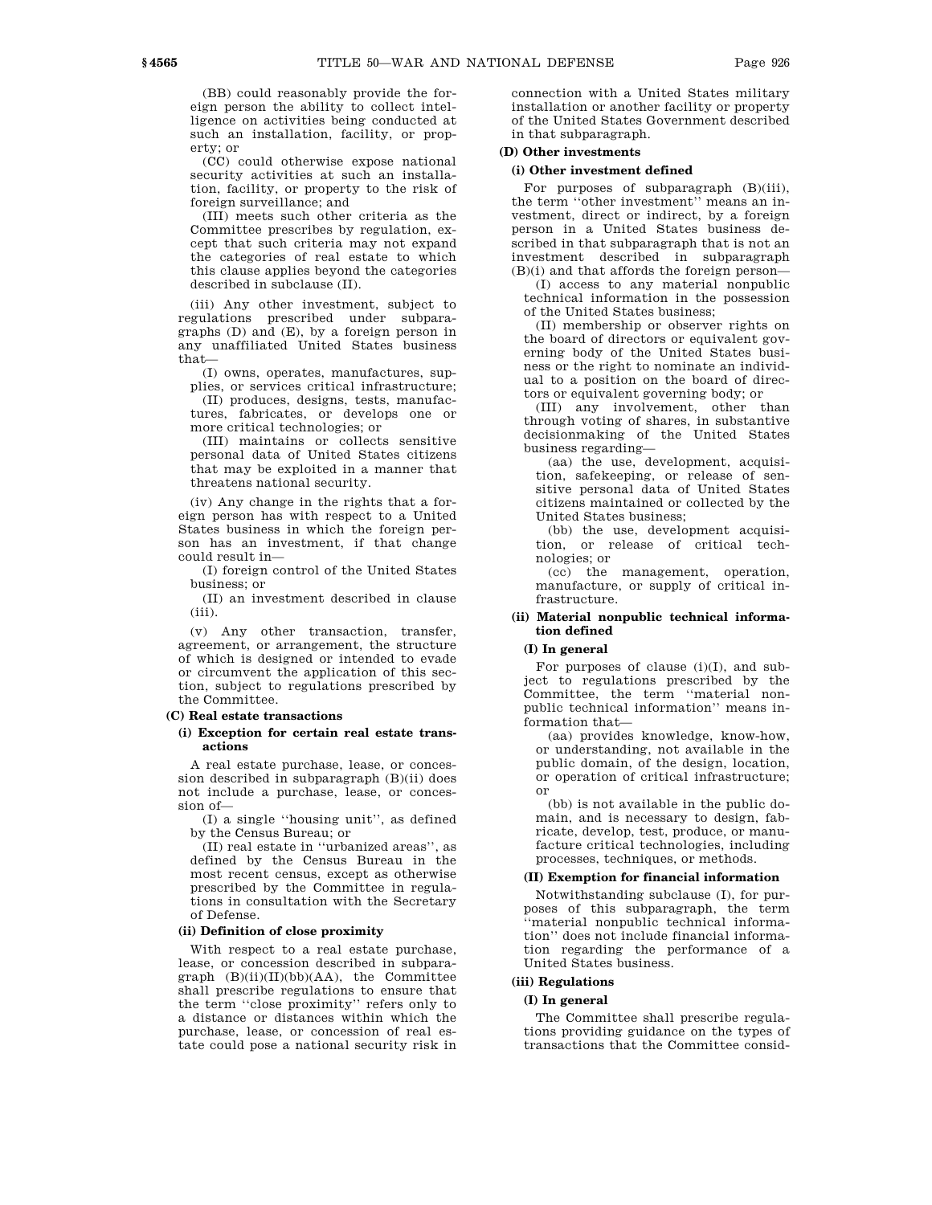(BB) could reasonably provide the foreign person the ability to collect intelligence on activities being conducted at such an installation, facility, or property; or

(CC) could otherwise expose national security activities at such an installation, facility, or property to the risk of foreign surveillance; and

(III) meets such other criteria as the Committee prescribes by regulation, except that such criteria may not expand the categories of real estate to which this clause applies beyond the categories described in subclause (II).

(iii) Any other investment, subject to regulations prescribed under subparagraphs (D) and (E), by a foreign person in any unaffiliated United States business that—

(I) owns, operates, manufactures, supplies, or services critical infrastructure;

(II) produces, designs, tests, manufactures, fabricates, or develops one or more critical technologies; or

(III) maintains or collects sensitive personal data of United States citizens that may be exploited in a manner that threatens national security.

(iv) Any change in the rights that a foreign person has with respect to a United States business in which the foreign person has an investment, if that change could result in—

(I) foreign control of the United States business; or

(II) an investment described in clause  $(iii)$ .

(v) Any other transaction, transfer, agreement, or arrangement, the structure of which is designed or intended to evade or circumvent the application of this section, subject to regulations prescribed by the Committee.

### **(C) Real estate transactions**

## **(i) Exception for certain real estate transactions**

A real estate purchase, lease, or concession described in subparagraph (B)(ii) does not include a purchase, lease, or concession of—

(I) a single ''housing unit'', as defined by the Census Bureau; or

(II) real estate in ''urbanized areas'', as defined by the Census Bureau in the most recent census, except as otherwise prescribed by the Committee in regulations in consultation with the Secretary of Defense.

### **(ii) Definition of close proximity**

With respect to a real estate purchase, lease, or concession described in subpara $graph$  (B)(ii)(II)(bb)(AA), the Committee shall prescribe regulations to ensure that the term ''close proximity'' refers only to a distance or distances within which the purchase, lease, or concession of real estate could pose a national security risk in

connection with a United States military installation or another facility or property of the United States Government described in that subparagraph.

# **(D) Other investments**

### **(i) Other investment defined**

For purposes of subparagraph  $(B)(iii)$ , the term ''other investment'' means an investment, direct or indirect, by a foreign person in a United States business described in that subparagraph that is not an investment described in subparagraph (B)(i) and that affords the foreign person—

(I) access to any material nonpublic technical information in the possession of the United States business;

(II) membership or observer rights on the board of directors or equivalent governing body of the United States business or the right to nominate an individual to a position on the board of directors or equivalent governing body; or

(III) any involvement, other than through voting of shares, in substantive decisionmaking of the United States business regarding—

(aa) the use, development, acquisition, safekeeping, or release of sensitive personal data of United States citizens maintained or collected by the United States business;

(bb) the use, development acquisition, or release of critical technologies; or

(cc) the management, operation, manufacture, or supply of critical infrastructure.

# **(ii) Material nonpublic technical information defined**

# **(I) In general**

For purposes of clause  $(i)(I)$ , and subject to regulations prescribed by the Committee, the term ''material nonpublic technical information'' means information that—

(aa) provides knowledge, know-how, or understanding, not available in the public domain, of the design, location, or operation of critical infrastructure; or

(bb) is not available in the public domain, and is necessary to design, fabricate, develop, test, produce, or manufacture critical technologies, including processes, techniques, or methods.

## **(II) Exemption for financial information**

Notwithstanding subclause (I), for purposes of this subparagraph, the term ''material nonpublic technical information'' does not include financial information regarding the performance of a United States business.

# **(iii) Regulations**

### **(I) In general**

The Committee shall prescribe regulations providing guidance on the types of transactions that the Committee consid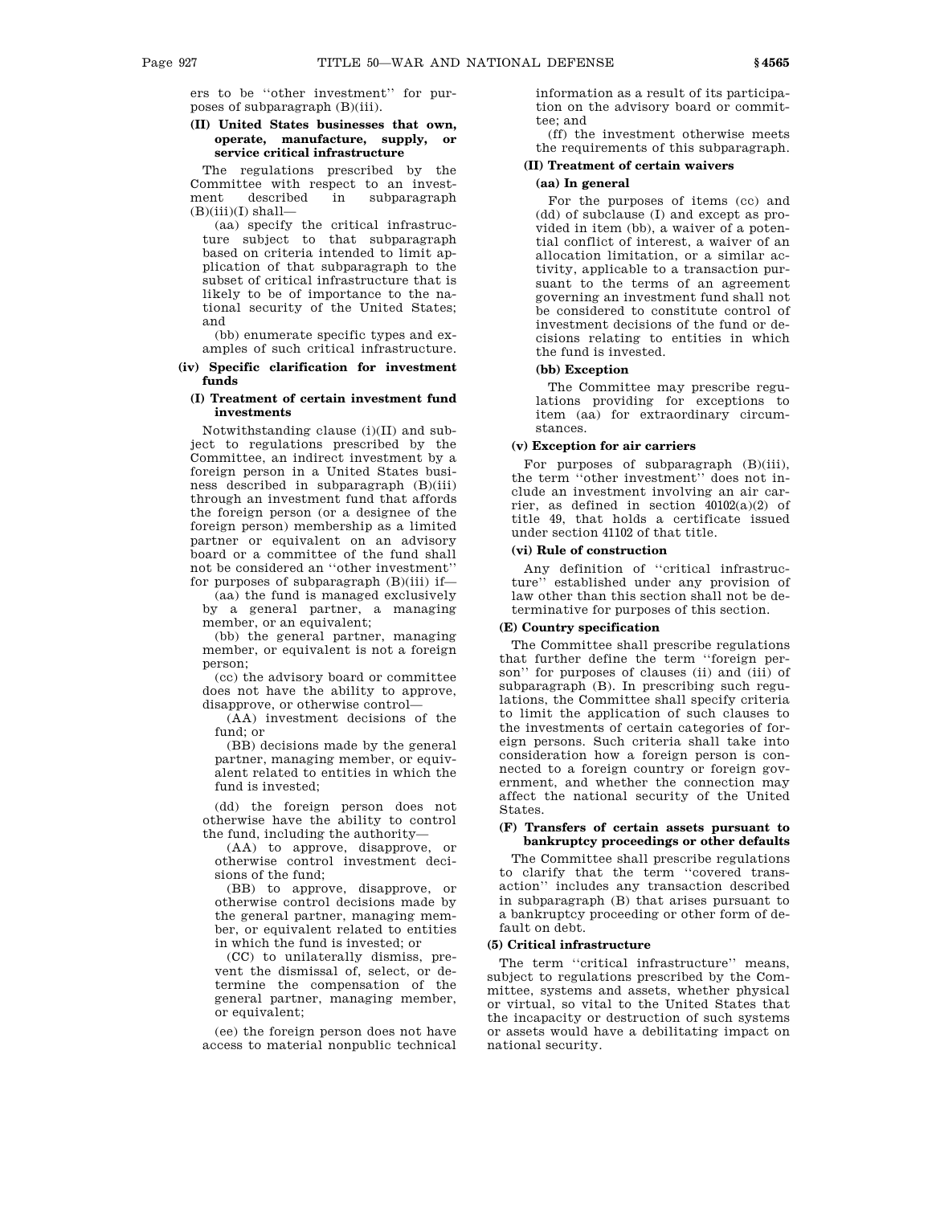ers to be ''other investment'' for purposes of subparagraph (B)(iii).

## **(II) United States businesses that own, operate, manufacture, supply, or service critical infrastructure**

The regulations prescribed by the Committee with respect to an invest-<br>ment described in subparagraph ment described in subparagraph  $(B)(iii)(I)$  shall-

(aa) specify the critical infrastructure subject to that subparagraph based on criteria intended to limit application of that subparagraph to the subset of critical infrastructure that is likely to be of importance to the national security of the United States; and

(bb) enumerate specific types and examples of such critical infrastructure.

# **(iv) Specific clarification for investment funds**

## **(I) Treatment of certain investment fund investments**

Notwithstanding clause (i)(II) and subject to regulations prescribed by the Committee, an indirect investment by a foreign person in a United States business described in subparagraph (B)(iii) through an investment fund that affords the foreign person (or a designee of the foreign person) membership as a limited partner or equivalent on an advisory board or a committee of the fund shall not be considered an ''other investment'' for purposes of subparagraph  $(B)(iii)$  if—

(aa) the fund is managed exclusively by a general partner, a managing member, or an equivalent;

(bb) the general partner, managing member, or equivalent is not a foreign person;

(cc) the advisory board or committee does not have the ability to approve, disapprove, or otherwise control—

(AA) investment decisions of the fund; or

(BB) decisions made by the general partner, managing member, or equivalent related to entities in which the fund is invested;

(dd) the foreign person does not otherwise have the ability to control the fund, including the authority—

(AA) to approve, disapprove, or otherwise control investment decisions of the fund;

(BB) to approve, disapprove, or otherwise control decisions made by the general partner, managing member, or equivalent related to entities in which the fund is invested; or

(CC) to unilaterally dismiss, prevent the dismissal of, select, or determine the compensation of the general partner, managing member, or equivalent;

(ee) the foreign person does not have access to material nonpublic technical information as a result of its participation on the advisory board or committee; and

(ff) the investment otherwise meets the requirements of this subparagraph.

# **(II) Treatment of certain waivers**

## **(aa) In general**

For the purposes of items (cc) and (dd) of subclause (I) and except as provided in item (bb), a waiver of a potential conflict of interest, a waiver of an allocation limitation, or a similar activity, applicable to a transaction pursuant to the terms of an agreement governing an investment fund shall not be considered to constitute control of investment decisions of the fund or decisions relating to entities in which the fund is invested.

# **(bb) Exception**

The Committee may prescribe regulations providing for exceptions to item (aa) for extraordinary circumstances.

# **(v) Exception for air carriers**

For purposes of subparagraph (B)(iii), the term ''other investment'' does not include an investment involving an air carrier, as defined in section 40102(a)(2) of title 49, that holds a certificate issued under section 41102 of that title.

# **(vi) Rule of construction**

Any definition of ''critical infrastructure'' established under any provision of law other than this section shall not be determinative for purposes of this section.

## **(E) Country specification**

The Committee shall prescribe regulations that further define the term ''foreign person'' for purposes of clauses (ii) and (iii) of subparagraph (B). In prescribing such regulations, the Committee shall specify criteria to limit the application of such clauses to the investments of certain categories of foreign persons. Such criteria shall take into consideration how a foreign person is connected to a foreign country or foreign government, and whether the connection may affect the national security of the United States.

## **(F) Transfers of certain assets pursuant to bankruptcy proceedings or other defaults**

The Committee shall prescribe regulations to clarify that the term ''covered transaction'' includes any transaction described in subparagraph (B) that arises pursuant to a bankruptcy proceeding or other form of default on debt.

### **(5) Critical infrastructure**

The term "critical infrastructure" means, subject to regulations prescribed by the Committee, systems and assets, whether physical or virtual, so vital to the United States that the incapacity or destruction of such systems or assets would have a debilitating impact on national security.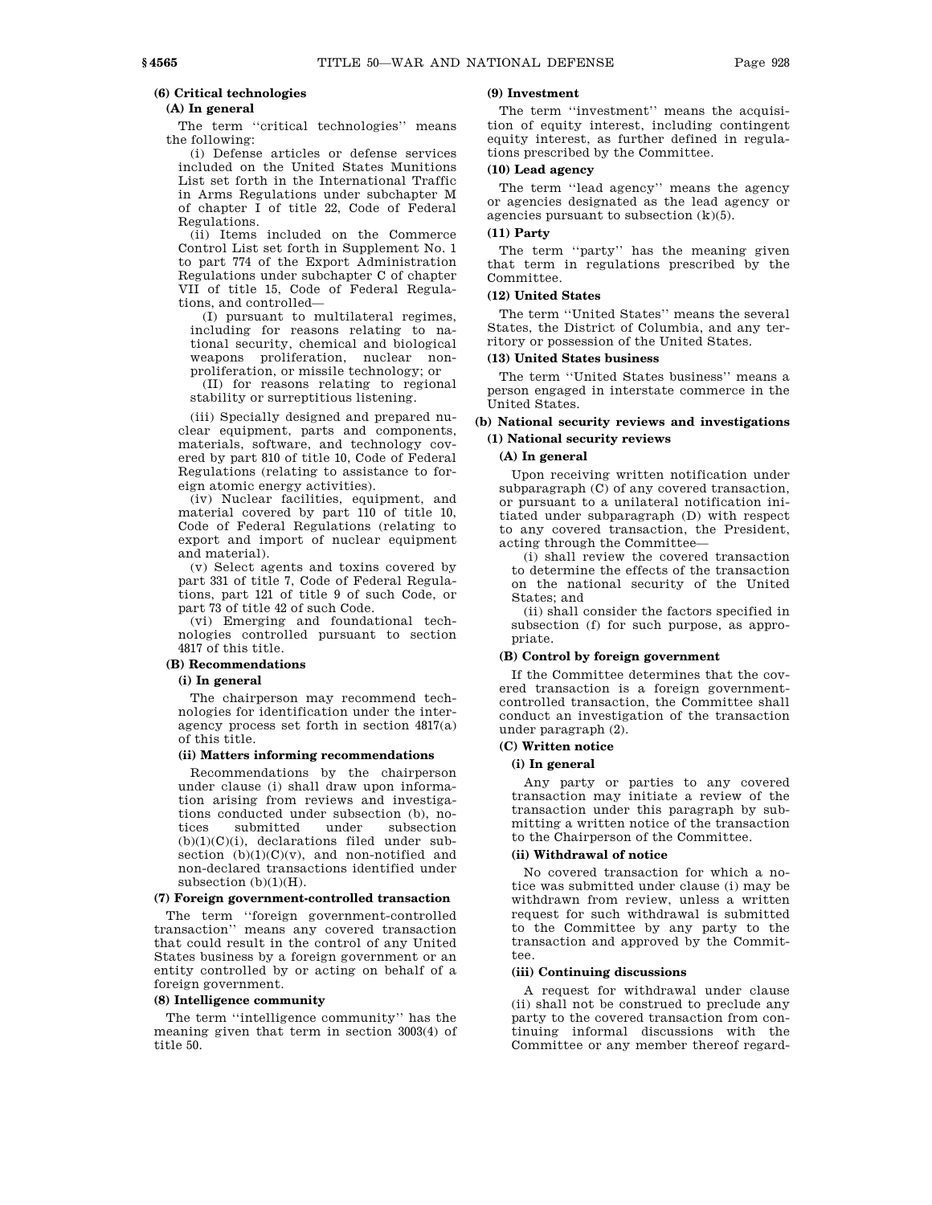### **(6) Critical technologies**

# **(A) In general**

The term ''critical technologies'' means the following:

(i) Defense articles or defense services included on the United States Munitions List set forth in the International Traffic in Arms Regulations under subchapter M of chapter I of title 22, Code of Federal Regulations.

(ii) Items included on the Commerce Control List set forth in Supplement No. 1 to part 774 of the Export Administration Regulations under subchapter C of chapter VII of title 15, Code of Federal Regulations, and controlled—

(I) pursuant to multilateral regimes, including for reasons relating to national security, chemical and biological weapons proliferation, nuclear nonproliferation, or missile technology; or

(II) for reasons relating to regional stability or surreptitious listening.

(iii) Specially designed and prepared nuclear equipment, parts and components, materials, software, and technology covered by part 810 of title 10, Code of Federal Regulations (relating to assistance to foreign atomic energy activities).

(iv) Nuclear facilities, equipment, and material covered by part 110 of title 10, Code of Federal Regulations (relating to export and import of nuclear equipment and material).

(v) Select agents and toxins covered by part 331 of title 7, Code of Federal Regulations, part 121 of title 9 of such Code, or part 73 of title 42 of such Code.

(vi) Emerging and foundational technologies controlled pursuant to section 4817 of this title.

### **(B) Recommendations**

### **(i) In general**

The chairperson may recommend technologies for identification under the interagency process set forth in section 4817(a) of this title.

### **(ii) Matters informing recommendations**

Recommendations by the chairperson under clause (i) shall draw upon information arising from reviews and investigations conducted under subsection (b), nosubmitted  $(b)(1)(C)(i)$ , declarations filed under subsection  $(b)(1)(C)(v)$ , and non-notified and non-declared transactions identified under subsection  $(b)(1)(H)$ .

## **(7) Foreign government-controlled transaction**

The term ''foreign government-controlled transaction'' means any covered transaction that could result in the control of any United States business by a foreign government or an entity controlled by or acting on behalf of a foreign government.

### **(8) Intelligence community**

The term ''intelligence community'' has the meaning given that term in section 3003(4) of title 50.

# **(9) Investment**

The term "investment" means the acquisition of equity interest, including contingent equity interest, as further defined in regulations prescribed by the Committee.

# **(10) Lead agency**

The term ''lead agency'' means the agency or agencies designated as the lead agency or agencies pursuant to subsection (k)(5).

# **(11) Party**

The term ''party'' has the meaning given that term in regulations prescribed by the Committee.

### **(12) United States**

The term ''United States'' means the several States, the District of Columbia, and any territory or possession of the United States.

### **(13) United States business**

The term ''United States business'' means a person engaged in interstate commerce in the United States.

# **(b) National security reviews and investigations (1) National security reviews**

### **(A) In general**

Upon receiving written notification under subparagraph (C) of any covered transaction, or pursuant to a unilateral notification initiated under subparagraph (D) with respect to any covered transaction, the President, acting through the Committee—

(i) shall review the covered transaction to determine the effects of the transaction on the national security of the United States; and

(ii) shall consider the factors specified in subsection (f) for such purpose, as appropriate.

### **(B) Control by foreign government**

If the Committee determines that the covered transaction is a foreign governmentcontrolled transaction, the Committee shall conduct an investigation of the transaction under paragraph (2).

### **(C) Written notice**

### **(i) In general**

Any party or parties to any covered transaction may initiate a review of the transaction under this paragraph by submitting a written notice of the transaction to the Chairperson of the Committee.

# **(ii) Withdrawal of notice**

No covered transaction for which a notice was submitted under clause (i) may be withdrawn from review, unless a written request for such withdrawal is submitted to the Committee by any party to the transaction and approved by the Committee.

### **(iii) Continuing discussions**

A request for withdrawal under clause (ii) shall not be construed to preclude any party to the covered transaction from continuing informal discussions with the Committee or any member thereof regard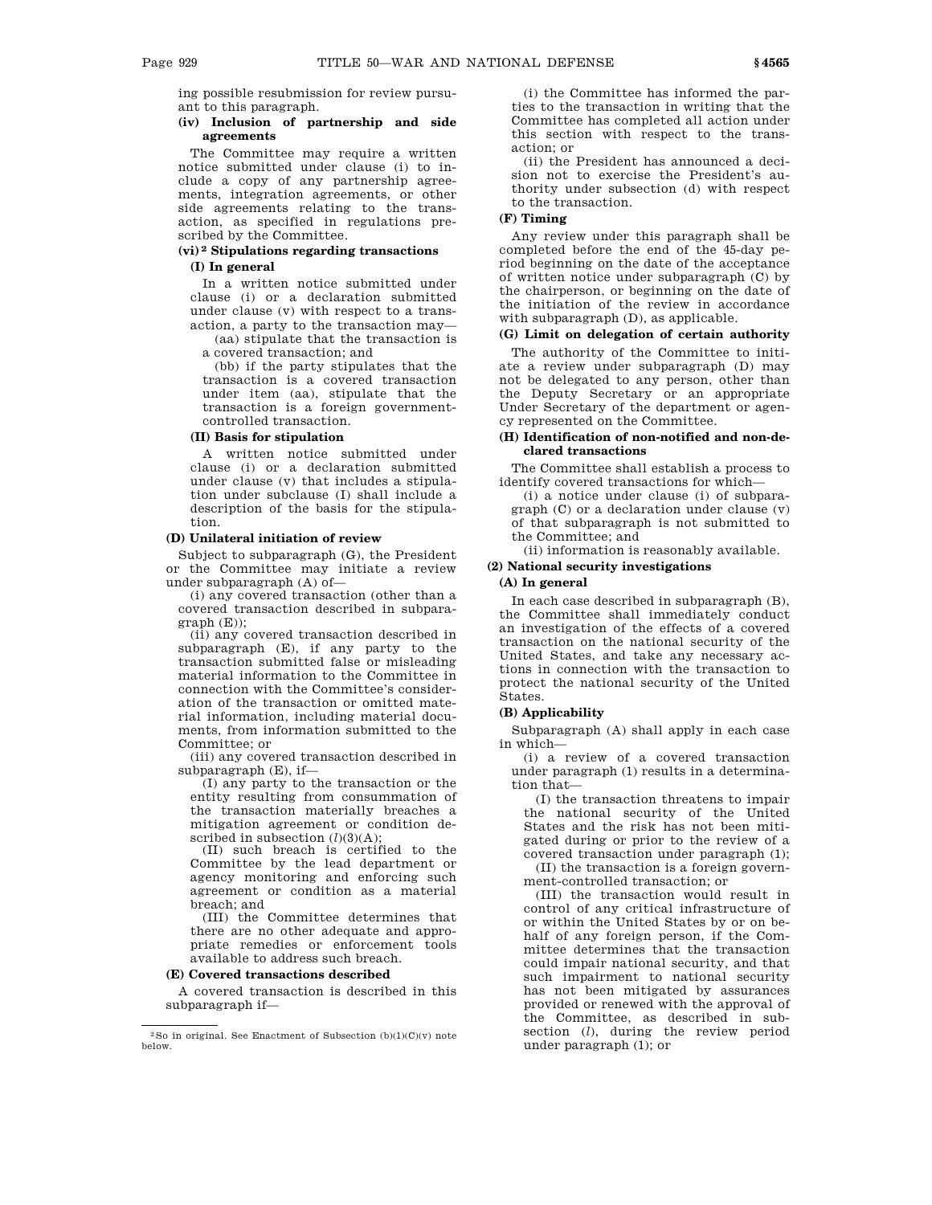ing possible resubmission for review pursuant to this paragraph.

# **(iv) Inclusion of partnership and side agreements**

The Committee may require a written notice submitted under clause (i) to include a copy of any partnership agreements, integration agreements, or other side agreements relating to the transaction, as specified in regulations prescribed by the Committee.

# **(vi) 2 Stipulations regarding transactions (I) In general**

In a written notice submitted under clause (i) or a declaration submitted under clause (v) with respect to a transaction, a party to the transaction may—

(aa) stipulate that the transaction is a covered transaction; and

(bb) if the party stipulates that the transaction is a covered transaction under item (aa), stipulate that the transaction is a foreign governmentcontrolled transaction.

# **(II) Basis for stipulation**

A written notice submitted under clause (i) or a declaration submitted under clause (v) that includes a stipulation under subclause (I) shall include a description of the basis for the stipulation.

## **(D) Unilateral initiation of review**

Subject to subparagraph (G), the President or the Committee may initiate a review under subparagraph (A) of—

(i) any covered transaction (other than a covered transaction described in subpara $graph(E)$ ;

(ii) any covered transaction described in subparagraph (E), if any party to the transaction submitted false or misleading material information to the Committee in connection with the Committee's consideration of the transaction or omitted material information, including material documents, from information submitted to the Committee; or

(iii) any covered transaction described in subparagraph (E), if—

(I) any party to the transaction or the entity resulting from consummation of the transaction materially breaches a mitigation agreement or condition described in subsection  $(l)(3)(A);$ 

(II) such breach is certified to the Committee by the lead department or agency monitoring and enforcing such agreement or condition as a material breach; and

(III) the Committee determines that there are no other adequate and appropriate remedies or enforcement tools available to address such breach.

### **(E) Covered transactions described**

A covered transaction is described in this subparagraph if—

(i) the Committee has informed the parties to the transaction in writing that the Committee has completed all action under this section with respect to the transaction; or

(ii) the President has announced a decision not to exercise the President's authority under subsection (d) with respect to the transaction.

# **(F) Timing**

Any review under this paragraph shall be completed before the end of the 45-day period beginning on the date of the acceptance of written notice under subparagraph (C) by the chairperson, or beginning on the date of the initiation of the review in accordance with subparagraph (D), as applicable.

# **(G) Limit on delegation of certain authority**

The authority of the Committee to initiate a review under subparagraph (D) may not be delegated to any person, other than the Deputy Secretary or an appropriate Under Secretary of the department or agency represented on the Committee.

## **(H) Identification of non-notified and non-declared transactions**

The Committee shall establish a process to identify covered transactions for which—

(i) a notice under clause (i) of subparagraph (C) or a declaration under clause (v) of that subparagraph is not submitted to the Committee; and

(ii) information is reasonably available.

# **(2) National security investigations**

### **(A) In general**

In each case described in subparagraph (B), the Committee shall immediately conduct an investigation of the effects of a covered transaction on the national security of the United States, and take any necessary actions in connection with the transaction to protect the national security of the United States.

# **(B) Applicability**

Subparagraph (A) shall apply in each case in which—

(i) a review of a covered transaction under paragraph (1) results in a determination that—

(I) the transaction threatens to impair the national security of the United States and the risk has not been mitigated during or prior to the review of a covered transaction under paragraph (1); (II) the transaction is a foreign government-controlled transaction; or

(III) the transaction would result in control of any critical infrastructure of or within the United States by or on behalf of any foreign person, if the Committee determines that the transaction could impair national security, and that such impairment to national security has not been mitigated by assurances provided or renewed with the approval of the Committee, as described in subsection (*l*), during the review period under paragraph (1); or

<sup>&</sup>lt;sup>2</sup>So in original. See Enactment of Subsection  $(b)(1)(C)(v)$  note below.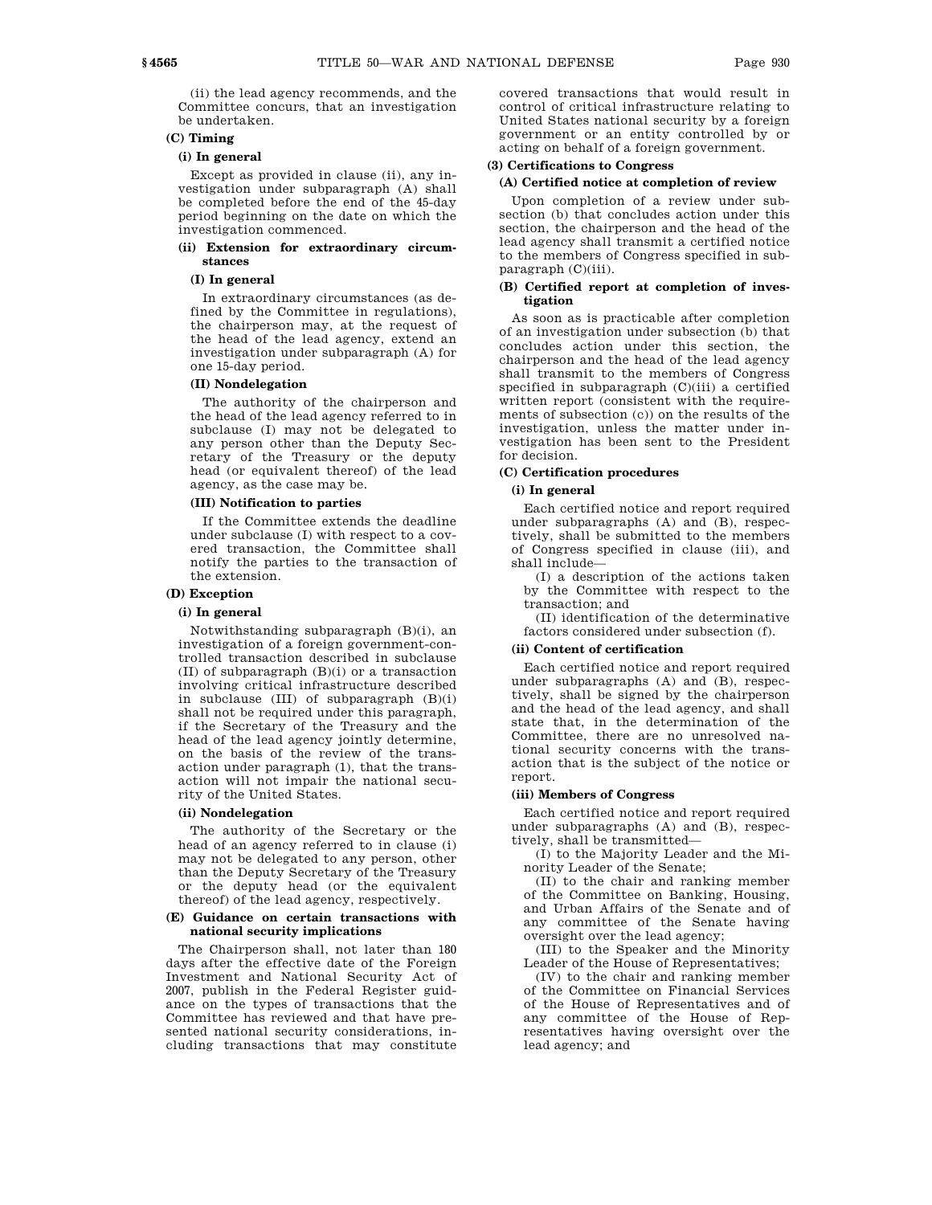(ii) the lead agency recommends, and the Committee concurs, that an investigation be undertaken.

# **(C) Timing**

# **(i) In general**

Except as provided in clause (ii), any investigation under subparagraph (A) shall be completed before the end of the 45-day period beginning on the date on which the investigation commenced.

## **(ii) Extension for extraordinary circumstances**

### **(I) In general**

In extraordinary circumstances (as defined by the Committee in regulations), the chairperson may, at the request of the head of the lead agency, extend an investigation under subparagraph (A) for one 15-day period.

## **(II) Nondelegation**

The authority of the chairperson and the head of the lead agency referred to in subclause (I) may not be delegated to any person other than the Deputy Secretary of the Treasury or the deputy head (or equivalent thereof) of the lead agency, as the case may be.

## **(III) Notification to parties**

If the Committee extends the deadline under subclause (I) with respect to a covered transaction, the Committee shall notify the parties to the transaction of the extension.

## **(D) Exception**

## **(i) In general**

Notwithstanding subparagraph (B)(i), an investigation of a foreign government-controlled transaction described in subclause (II) of subparagraph (B)(i) or a transaction involving critical infrastructure described in subclause (III) of subparagraph (B)(i) shall not be required under this paragraph, if the Secretary of the Treasury and the head of the lead agency jointly determine, on the basis of the review of the transaction under paragraph (1), that the transaction will not impair the national security of the United States.

### **(ii) Nondelegation**

The authority of the Secretary or the head of an agency referred to in clause (i) may not be delegated to any person, other than the Deputy Secretary of the Treasury or the deputy head (or the equivalent thereof) of the lead agency, respectively.

### **(E) Guidance on certain transactions with national security implications**

The Chairperson shall, not later than 180 days after the effective date of the Foreign Investment and National Security Act of 2007, publish in the Federal Register guidance on the types of transactions that the Committee has reviewed and that have presented national security considerations, including transactions that may constitute

covered transactions that would result in control of critical infrastructure relating to United States national security by a foreign government or an entity controlled by or acting on behalf of a foreign government.

# **(3) Certifications to Congress**

## **(A) Certified notice at completion of review**

Upon completion of a review under subsection (b) that concludes action under this section, the chairperson and the head of the lead agency shall transmit a certified notice to the members of Congress specified in subparagraph (C)(iii).

# **(B) Certified report at completion of investigation**

As soon as is practicable after completion of an investigation under subsection (b) that concludes action under this section, the chairperson and the head of the lead agency shall transmit to the members of Congress specified in subparagraph (C)(iii) a certified written report (consistent with the requirements of subsection (c)) on the results of the investigation, unless the matter under investigation has been sent to the President for decision.

### **(C) Certification procedures**

## **(i) In general**

Each certified notice and report required under subparagraphs (A) and (B), respectively, shall be submitted to the members of Congress specified in clause (iii), and shall include—

(I) a description of the actions taken by the Committee with respect to the transaction; and

(II) identification of the determinative factors considered under subsection (f).

# **(ii) Content of certification**

Each certified notice and report required under subparagraphs (A) and (B), respectively, shall be signed by the chairperson and the head of the lead agency, and shall state that, in the determination of the Committee, there are no unresolved national security concerns with the transaction that is the subject of the notice or report.

## **(iii) Members of Congress**

Each certified notice and report required under subparagraphs (A) and (B), respectively, shall be transmitted—

(I) to the Majority Leader and the Minority Leader of the Senate;

(II) to the chair and ranking member of the Committee on Banking, Housing, and Urban Affairs of the Senate and of any committee of the Senate having oversight over the lead agency;

(III) to the Speaker and the Minority Leader of the House of Representatives;

(IV) to the chair and ranking member of the Committee on Financial Services of the House of Representatives and of any committee of the House of Representatives having oversight over the lead agency; and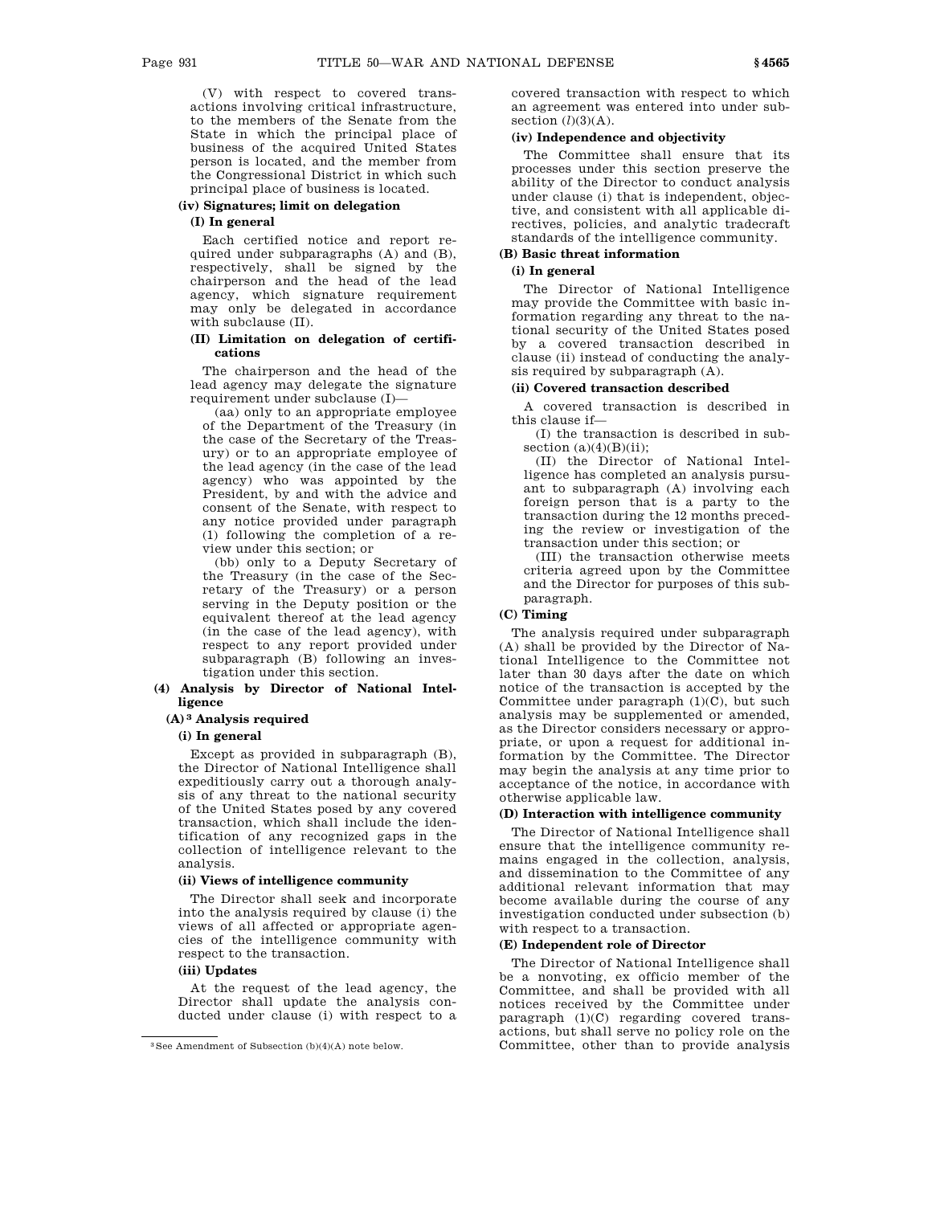(V) with respect to covered transactions involving critical infrastructure, to the members of the Senate from the State in which the principal place of business of the acquired United States person is located, and the member from the Congressional District in which such principal place of business is located.

# **(iv) Signatures; limit on delegation**

# **(I) In general**

Each certified notice and report required under subparagraphs (A) and (B), respectively, shall be signed by the chairperson and the head of the lead agency, which signature requirement may only be delegated in accordance with subclause (II).

# **(II) Limitation on delegation of certifications**

The chairperson and the head of the lead agency may delegate the signature requirement under subclause (I)—

(aa) only to an appropriate employee of the Department of the Treasury (in the case of the Secretary of the Treasury) or to an appropriate employee of the lead agency (in the case of the lead agency) who was appointed by the President, by and with the advice and consent of the Senate, with respect to any notice provided under paragraph (1) following the completion of a review under this section; or

(bb) only to a Deputy Secretary of the Treasury (in the case of the Secretary of the Treasury) or a person serving in the Deputy position or the equivalent thereof at the lead agency (in the case of the lead agency), with respect to any report provided under subparagraph (B) following an investigation under this section.

## **(4) Analysis by Director of National Intelligence**

### **(A) 3 Analysis required**

# **(i) In general**

Except as provided in subparagraph (B), the Director of National Intelligence shall expeditiously carry out a thorough analysis of any threat to the national security of the United States posed by any covered transaction, which shall include the identification of any recognized gaps in the collection of intelligence relevant to the analysis.

# **(ii) Views of intelligence community**

The Director shall seek and incorporate into the analysis required by clause (i) the views of all affected or appropriate agencies of the intelligence community with respect to the transaction.

### **(iii) Updates**

At the request of the lead agency, the Director shall update the analysis conducted under clause (i) with respect to a covered transaction with respect to which an agreement was entered into under subsection  $(l)(3)(A)$ .

# **(iv) Independence and objectivity**

The Committee shall ensure that its processes under this section preserve the ability of the Director to conduct analysis under clause (i) that is independent, objective, and consistent with all applicable directives, policies, and analytic tradecraft standards of the intelligence community.

## **(B) Basic threat information**

# **(i) In general**

The Director of National Intelligence may provide the Committee with basic information regarding any threat to the national security of the United States posed by a covered transaction described in clause (ii) instead of conducting the analysis required by subparagraph (A).

### **(ii) Covered transaction described**

A covered transaction is described in this clause if—

(I) the transaction is described in subsection  $(a)(4)(B)(ii)$ ;

(II) the Director of National Intelligence has completed an analysis pursuant to subparagraph (A) involving each foreign person that is a party to the transaction during the 12 months preceding the review or investigation of the transaction under this section; or

(III) the transaction otherwise meets criteria agreed upon by the Committee and the Director for purposes of this subparagraph.

# **(C) Timing**

The analysis required under subparagraph (A) shall be provided by the Director of National Intelligence to the Committee not later than 30 days after the date on which notice of the transaction is accepted by the Committee under paragraph (1)(C), but such analysis may be supplemented or amended, as the Director considers necessary or appropriate, or upon a request for additional information by the Committee. The Director may begin the analysis at any time prior to acceptance of the notice, in accordance with otherwise applicable law.

### **(D) Interaction with intelligence community**

The Director of National Intelligence shall ensure that the intelligence community remains engaged in the collection, analysis, and dissemination to the Committee of any additional relevant information that may become available during the course of any investigation conducted under subsection (b) with respect to a transaction.

## **(E) Independent role of Director**

The Director of National Intelligence shall be a nonvoting, ex officio member of the Committee, and shall be provided with all notices received by the Committee under paragraph (1)(C) regarding covered transactions, but shall serve no policy role on the Committee, other than to provide analysis

<sup>3</sup>See Amendment of Subsection (b)(4)(A) note below.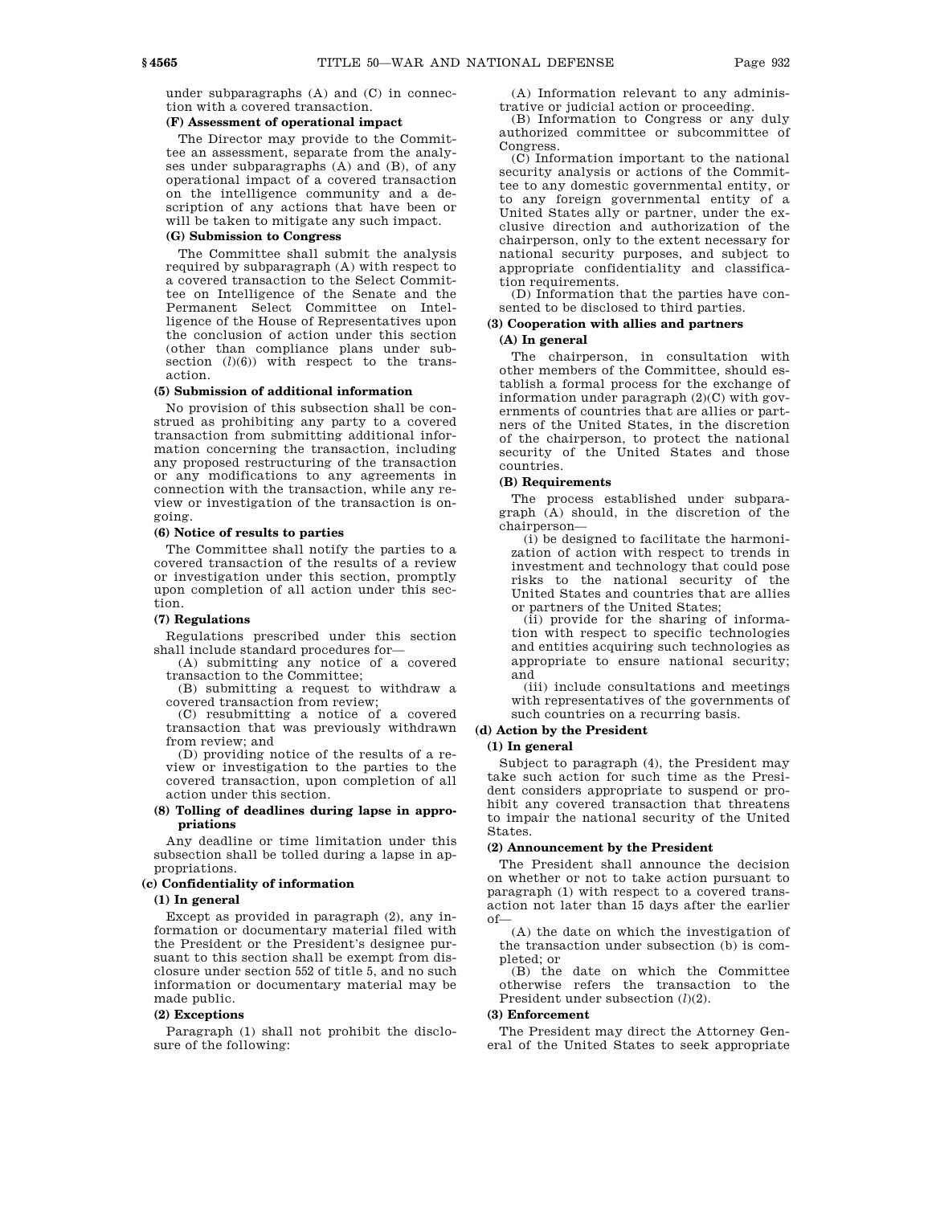under subparagraphs (A) and (C) in connection with a covered transaction.

### **(F) Assessment of operational impact**

The Director may provide to the Committee an assessment, separate from the analyses under subparagraphs (A) and (B), of any operational impact of a covered transaction on the intelligence community and a description of any actions that have been or will be taken to mitigate any such impact.

### **(G) Submission to Congress**

The Committee shall submit the analysis required by subparagraph (A) with respect to a covered transaction to the Select Committee on Intelligence of the Senate and the Permanent Select Committee on Intelligence of the House of Representatives upon the conclusion of action under this section (other than compliance plans under subsection  $(l)(6)$ ) with respect to the transaction.

# **(5) Submission of additional information**

No provision of this subsection shall be construed as prohibiting any party to a covered transaction from submitting additional information concerning the transaction, including any proposed restructuring of the transaction or any modifications to any agreements in connection with the transaction, while any review or investigation of the transaction is ongoing.

# **(6) Notice of results to parties**

The Committee shall notify the parties to a covered transaction of the results of a review or investigation under this section, promptly upon completion of all action under this section.

### **(7) Regulations**

Regulations prescribed under this section shall include standard procedures for—

(A) submitting any notice of a covered transaction to the Committee;

(B) submitting a request to withdraw a covered transaction from review;

(C) resubmitting a notice of a covered transaction that was previously withdrawn from review; and

(D) providing notice of the results of a review or investigation to the parties to the covered transaction, upon completion of all action under this section.

## **(8) Tolling of deadlines during lapse in appropriations**

Any deadline or time limitation under this subsection shall be tolled during a lapse in appropriations.

### **(c) Confidentiality of information**

### **(1) In general**

Except as provided in paragraph (2), any information or documentary material filed with the President or the President's designee pursuant to this section shall be exempt from disclosure under section 552 of title 5, and no such information or documentary material may be made public.

### **(2) Exceptions**

Paragraph (1) shall not prohibit the disclosure of the following:

(A) Information relevant to any administrative or judicial action or proceeding.

(B) Information to Congress or any duly authorized committee or subcommittee of Congress.

(C) Information important to the national security analysis or actions of the Committee to any domestic governmental entity, or to any foreign governmental entity of a United States ally or partner, under the exclusive direction and authorization of the chairperson, only to the extent necessary for national security purposes, and subject to appropriate confidentiality and classification requirements.

(D) Information that the parties have consented to be disclosed to third parties.

# **(3) Cooperation with allies and partners**

# **(A) In general**

The chairperson, in consultation with other members of the Committee, should establish a formal process for the exchange of information under paragraph (2)(C) with governments of countries that are allies or partners of the United States, in the discretion of the chairperson, to protect the national security of the United States and those countries.

## **(B) Requirements**

The process established under subparagraph (A) should, in the discretion of the chairperson—

(i) be designed to facilitate the harmonization of action with respect to trends in investment and technology that could pose risks to the national security of the United States and countries that are allies or partners of the United States;

(ii) provide for the sharing of information with respect to specific technologies and entities acquiring such technologies as appropriate to ensure national security; and

(iii) include consultations and meetings with representatives of the governments of such countries on a recurring basis.

# **(d) Action by the President**

# **(1) In general**

Subject to paragraph (4), the President may take such action for such time as the President considers appropriate to suspend or prohibit any covered transaction that threatens to impair the national security of the United States.

## **(2) Announcement by the President**

The President shall announce the decision on whether or not to take action pursuant to paragraph (1) with respect to a covered transaction not later than 15 days after the earlier of—

(A) the date on which the investigation of the transaction under subsection (b) is completed; or

(B) the date on which the Committee otherwise refers the transaction to the President under subsection (*l*)(2).

### **(3) Enforcement**

The President may direct the Attorney General of the United States to seek appropriate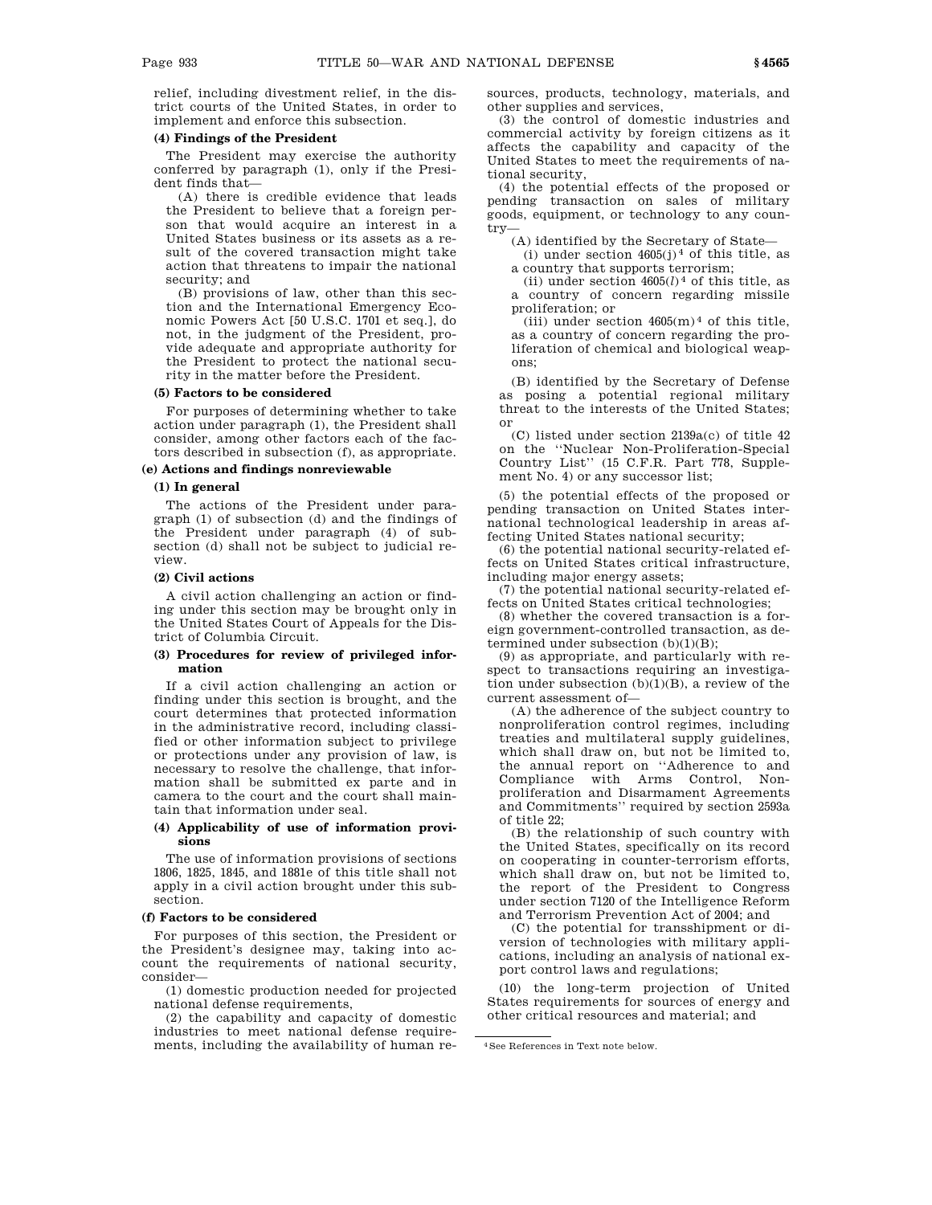relief, including divestment relief, in the district courts of the United States, in order to implement and enforce this subsection.

## **(4) Findings of the President**

The President may exercise the authority conferred by paragraph (1), only if the President finds that—

(A) there is credible evidence that leads the President to believe that a foreign person that would acquire an interest in a United States business or its assets as a result of the covered transaction might take action that threatens to impair the national security; and

(B) provisions of law, other than this section and the International Emergency Economic Powers Act [50 U.S.C. 1701 et seq.], do not, in the judgment of the President, provide adequate and appropriate authority for the President to protect the national security in the matter before the President.

### **(5) Factors to be considered**

For purposes of determining whether to take action under paragraph (1), the President shall consider, among other factors each of the factors described in subsection (f), as appropriate.

# **(e) Actions and findings nonreviewable**

### **(1) In general**

The actions of the President under paragraph (1) of subsection (d) and the findings of the President under paragraph (4) of subsection (d) shall not be subject to judicial review.

### **(2) Civil actions**

A civil action challenging an action or finding under this section may be brought only in the United States Court of Appeals for the District of Columbia Circuit.

## **(3) Procedures for review of privileged information**

If a civil action challenging an action or finding under this section is brought, and the court determines that protected information in the administrative record, including classified or other information subject to privilege or protections under any provision of law, is necessary to resolve the challenge, that information shall be submitted ex parte and in camera to the court and the court shall maintain that information under seal.

## **(4) Applicability of use of information provisions**

The use of information provisions of sections 1806, 1825, 1845, and 1881e of this title shall not apply in a civil action brought under this subsection.

### **(f) Factors to be considered**

For purposes of this section, the President or the President's designee may, taking into account the requirements of national security, consider—

(1) domestic production needed for projected national defense requirements,

(2) the capability and capacity of domestic industries to meet national defense requirements, including the availability of human resources, products, technology, materials, and other supplies and services,

(3) the control of domestic industries and commercial activity by foreign citizens as it affects the capability and capacity of the United States to meet the requirements of national security,

(4) the potential effects of the proposed or pending transaction on sales of military goods, equipment, or technology to any country—

(A) identified by the Secretary of State—

(i) under section  $4605(j)^4$  of this title, as a country that supports terrorism;

(ii) under section  $4605(l)^4$  of this title, as a country of concern regarding missile proliferation; or

(iii) under section  $4605(m)^4$  of this title, as a country of concern regarding the proliferation of chemical and biological weapons;

(B) identified by the Secretary of Defense as posing a potential regional military threat to the interests of the United States; or

(C) listed under section 2139a(c) of title 42 on the ''Nuclear Non-Proliferation-Special Country List'' (15 C.F.R. Part 778, Supplement No. 4) or any successor list;

(5) the potential effects of the proposed or pending transaction on United States international technological leadership in areas affecting United States national security;

(6) the potential national security-related effects on United States critical infrastructure, including major energy assets;

(7) the potential national security-related effects on United States critical technologies;

(8) whether the covered transaction is a foreign government-controlled transaction, as determined under subsection  $(b)(1)(B)$ ;

(9) as appropriate, and particularly with respect to transactions requiring an investigation under subsection (b)(1)(B), a review of the current assessment of—

(A) the adherence of the subject country to nonproliferation control regimes, including treaties and multilateral supply guidelines, which shall draw on, but not be limited to, the annual report on ''Adherence to and Compliance with Arms Control, Nonproliferation and Disarmament Agreements and Commitments'' required by section 2593a of title 22;

(B) the relationship of such country with the United States, specifically on its record on cooperating in counter-terrorism efforts, which shall draw on, but not be limited to, the report of the President to Congress under section 7120 of the Intelligence Reform and Terrorism Prevention Act of 2004; and

(C) the potential for transshipment or diversion of technologies with military applications, including an analysis of national export control laws and regulations;

(10) the long-term projection of United States requirements for sources of energy and other critical resources and material; and

<sup>4</sup>See References in Text note below.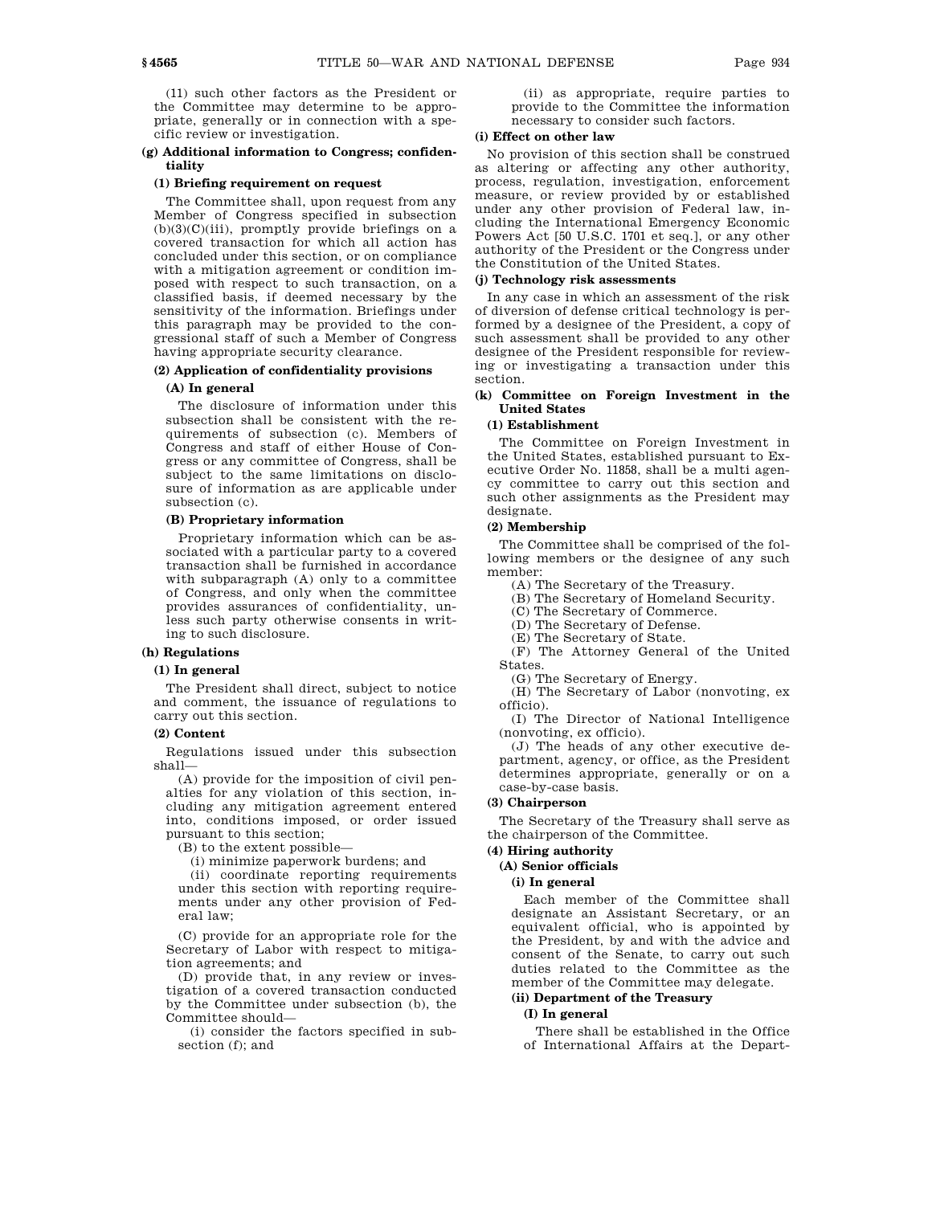(11) such other factors as the President or the Committee may determine to be appropriate, generally or in connection with a specific review or investigation.

## **(g) Additional information to Congress; confidentiality**

### **(1) Briefing requirement on request**

The Committee shall, upon request from any Member of Congress specified in subsection  $(b)(3)(C)(iii)$ , promptly provide briefings on a covered transaction for which all action has concluded under this section, or on compliance with a mitigation agreement or condition imposed with respect to such transaction, on a classified basis, if deemed necessary by the sensitivity of the information. Briefings under this paragraph may be provided to the congressional staff of such a Member of Congress having appropriate security clearance.

# **(2) Application of confidentiality provisions**

### **(A) In general**

The disclosure of information under this subsection shall be consistent with the requirements of subsection (c). Members of Congress and staff of either House of Congress or any committee of Congress, shall be subject to the same limitations on disclosure of information as are applicable under subsection (c).

### **(B) Proprietary information**

Proprietary information which can be associated with a particular party to a covered transaction shall be furnished in accordance with subparagraph (A) only to a committee of Congress, and only when the committee provides assurances of confidentiality, unless such party otherwise consents in writing to such disclosure.

# **(h) Regulations**

## **(1) In general**

The President shall direct, subject to notice and comment, the issuance of regulations to carry out this section.

### **(2) Content**

Regulations issued under this subsection shall—

(A) provide for the imposition of civil penalties for any violation of this section, including any mitigation agreement entered into, conditions imposed, or order issued pursuant to this section;

(B) to the extent possible—

(i) minimize paperwork burdens; and

(ii) coordinate reporting requirements under this section with reporting requirements under any other provision of Federal law;

(C) provide for an appropriate role for the Secretary of Labor with respect to mitigation agreements; and

(D) provide that, in any review or investigation of a covered transaction conducted by the Committee under subsection (b), the Committee should—

(i) consider the factors specified in subsection (f); and

(ii) as appropriate, require parties to provide to the Committee the information necessary to consider such factors.

## **(i) Effect on other law**

No provision of this section shall be construed as altering or affecting any other authority, process, regulation, investigation, enforcement measure, or review provided by or established under any other provision of Federal law, including the International Emergency Economic Powers Act [50 U.S.C. 1701 et seq.], or any other authority of the President or the Congress under the Constitution of the United States.

## **(j) Technology risk assessments**

In any case in which an assessment of the risk of diversion of defense critical technology is performed by a designee of the President, a copy of such assessment shall be provided to any other designee of the President responsible for reviewing or investigating a transaction under this section.

# **(k) Committee on Foreign Investment in the United States**

# **(1) Establishment**

The Committee on Foreign Investment in the United States, established pursuant to Executive Order No. 11858, shall be a multi agency committee to carry out this section and such other assignments as the President may designate.

# **(2) Membership**

The Committee shall be comprised of the following members or the designee of any such member:

(A) The Secretary of the Treasury.

(B) The Secretary of Homeland Security.

(C) The Secretary of Commerce.

(D) The Secretary of Defense.

(E) The Secretary of State.

(F) The Attorney General of the United States.

(G) The Secretary of Energy.

(H) The Secretary of Labor (nonvoting, ex officio).

(I) The Director of National Intelligence (nonvoting, ex officio).

(J) The heads of any other executive department, agency, or office, as the President determines appropriate, generally or on a case-by-case basis.

## **(3) Chairperson**

The Secretary of the Treasury shall serve as the chairperson of the Committee.

# **(4) Hiring authority**

### **(A) Senior officials**

**(i) In general**

Each member of the Committee shall designate an Assistant Secretary, or an equivalent official, who is appointed by the President, by and with the advice and consent of the Senate, to carry out such duties related to the Committee as the member of the Committee may delegate.

## **(ii) Department of the Treasury (I) In general**

There shall be established in the Office of International Affairs at the Depart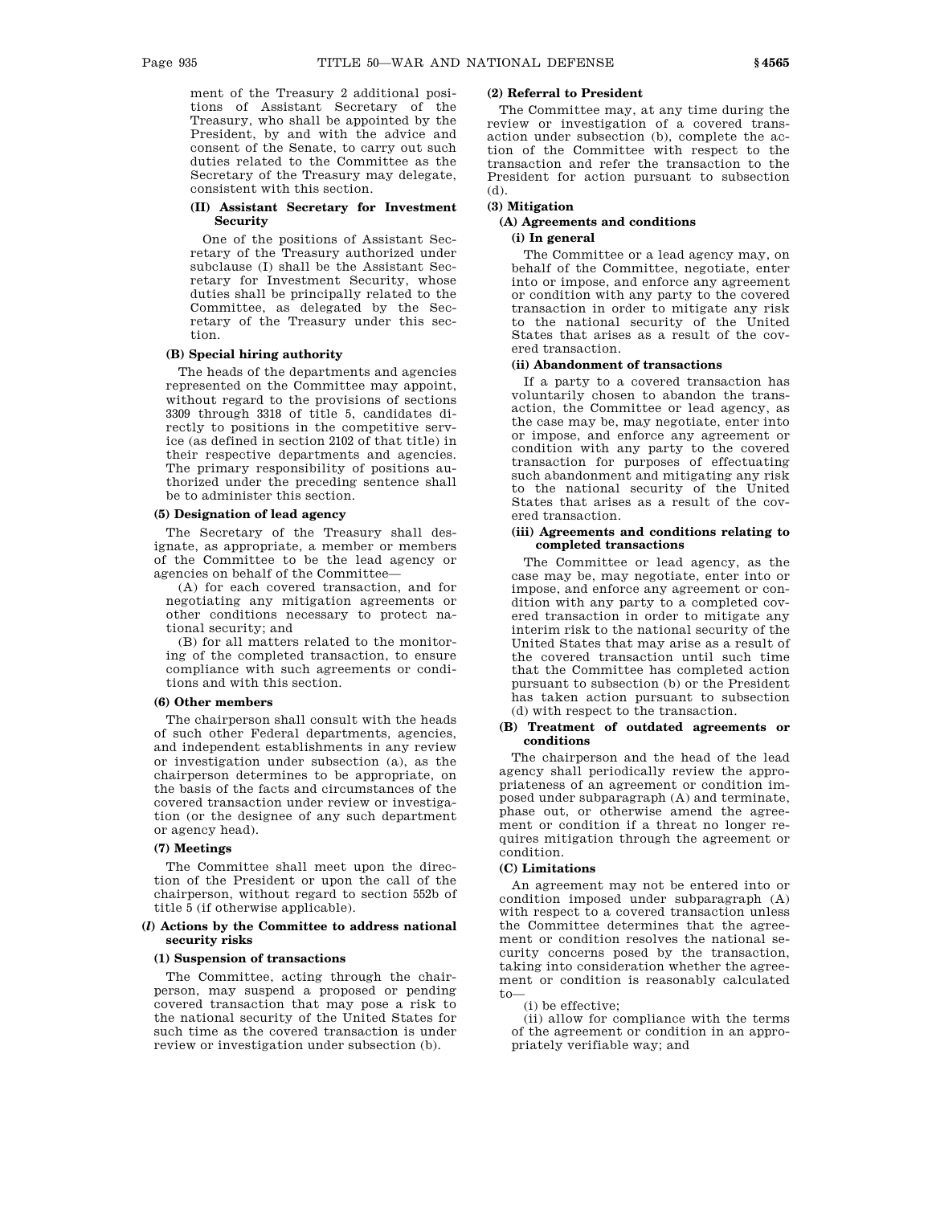ment of the Treasury 2 additional positions of Assistant Secretary of the Treasury, who shall be appointed by the President, by and with the advice and consent of the Senate, to carry out such duties related to the Committee as the Secretary of the Treasury may delegate, consistent with this section.

## **(II) Assistant Secretary for Investment Security**

One of the positions of Assistant Secretary of the Treasury authorized under subclause (I) shall be the Assistant Secretary for Investment Security, whose duties shall be principally related to the Committee, as delegated by the Secretary of the Treasury under this section.

# **(B) Special hiring authority**

The heads of the departments and agencies represented on the Committee may appoint, without regard to the provisions of sections 3309 through 3318 of title 5, candidates directly to positions in the competitive service (as defined in section 2102 of that title) in their respective departments and agencies. The primary responsibility of positions authorized under the preceding sentence shall be to administer this section.

### **(5) Designation of lead agency**

The Secretary of the Treasury shall designate, as appropriate, a member or members of the Committee to be the lead agency or agencies on behalf of the Committee—

(A) for each covered transaction, and for negotiating any mitigation agreements or other conditions necessary to protect national security; and

(B) for all matters related to the monitoring of the completed transaction, to ensure compliance with such agreements or conditions and with this section.

### **(6) Other members**

The chairperson shall consult with the heads of such other Federal departments, agencies, and independent establishments in any review or investigation under subsection (a), as the chairperson determines to be appropriate, on the basis of the facts and circumstances of the covered transaction under review or investigation (or the designee of any such department or agency head).

# **(7) Meetings**

The Committee shall meet upon the direction of the President or upon the call of the chairperson, without regard to section 552b of title 5 (if otherwise applicable).

## **(***l***) Actions by the Committee to address national security risks**

### **(1) Suspension of transactions**

The Committee, acting through the chairperson, may suspend a proposed or pending covered transaction that may pose a risk to the national security of the United States for such time as the covered transaction is under review or investigation under subsection (b).

### **(2) Referral to President**

The Committee may, at any time during the review or investigation of a covered transaction under subsection (b), complete the action of the Committee with respect to the transaction and refer the transaction to the President for action pursuant to subsection (d).

# **(3) Mitigation**

# **(A) Agreements and conditions (i) In general**

The Committee or a lead agency may, on behalf of the Committee, negotiate, enter into or impose, and enforce any agreement or condition with any party to the covered transaction in order to mitigate any risk to the national security of the United States that arises as a result of the covered transaction.

### **(ii) Abandonment of transactions**

If a party to a covered transaction has voluntarily chosen to abandon the transaction, the Committee or lead agency, as the case may be, may negotiate, enter into or impose, and enforce any agreement or condition with any party to the covered transaction for purposes of effectuating such abandonment and mitigating any risk to the national security of the United States that arises as a result of the covered transaction.

### **(iii) Agreements and conditions relating to completed transactions**

The Committee or lead agency, as the case may be, may negotiate, enter into or impose, and enforce any agreement or condition with any party to a completed covered transaction in order to mitigate any interim risk to the national security of the United States that may arise as a result of the covered transaction until such time that the Committee has completed action pursuant to subsection (b) or the President has taken action pursuant to subsection (d) with respect to the transaction.

### **(B) Treatment of outdated agreements or conditions**

The chairperson and the head of the lead agency shall periodically review the appropriateness of an agreement or condition imposed under subparagraph (A) and terminate, phase out, or otherwise amend the agreement or condition if a threat no longer requires mitigation through the agreement or condition.

### **(C) Limitations**

An agreement may not be entered into or condition imposed under subparagraph (A) with respect to a covered transaction unless the Committee determines that the agreement or condition resolves the national security concerns posed by the transaction, taking into consideration whether the agreement or condition is reasonably calculated  $t_0$ 

(i) be effective;

(ii) allow for compliance with the terms of the agreement or condition in an appropriately verifiable way; and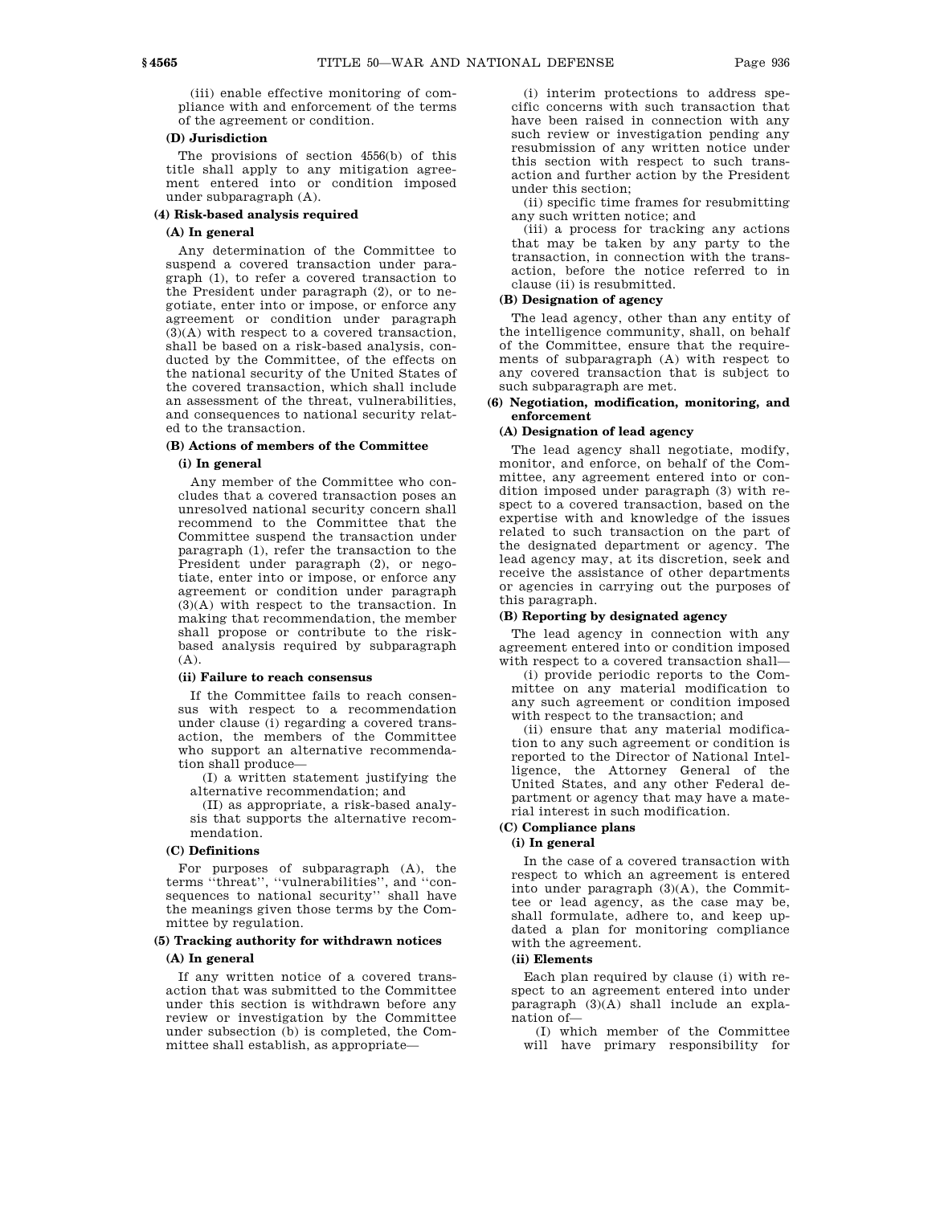(iii) enable effective monitoring of compliance with and enforcement of the terms of the agreement or condition.

### **(D) Jurisdiction**

The provisions of section 4556(b) of this title shall apply to any mitigation agreement entered into or condition imposed under subparagraph (A).

## **(4) Risk-based analysis required**

## **(A) In general**

Any determination of the Committee to suspend a covered transaction under paragraph (1), to refer a covered transaction to the President under paragraph (2), or to negotiate, enter into or impose, or enforce any agreement or condition under paragraph (3)(A) with respect to a covered transaction, shall be based on a risk-based analysis, conducted by the Committee, of the effects on the national security of the United States of the covered transaction, which shall include an assessment of the threat, vulnerabilities, and consequences to national security related to the transaction.

# **(B) Actions of members of the Committee**

### **(i) In general**

Any member of the Committee who concludes that a covered transaction poses an unresolved national security concern shall recommend to the Committee that the Committee suspend the transaction under paragraph (1), refer the transaction to the President under paragraph (2), or negotiate, enter into or impose, or enforce any agreement or condition under paragraph (3)(A) with respect to the transaction. In making that recommendation, the member shall propose or contribute to the riskbased analysis required by subparagraph (A).

## **(ii) Failure to reach consensus**

If the Committee fails to reach consensus with respect to a recommendation under clause (i) regarding a covered transaction, the members of the Committee who support an alternative recommendation shall produce—

(I) a written statement justifying the alternative recommendation; and

(II) as appropriate, a risk-based analysis that supports the alternative recommendation.

### **(C) Definitions**

For purposes of subparagraph (A), the terms ''threat'', ''vulnerabilities'', and ''consequences to national security'' shall have the meanings given those terms by the Committee by regulation.

# **(5) Tracking authority for withdrawn notices**

### **(A) In general**

If any written notice of a covered transaction that was submitted to the Committee under this section is withdrawn before any review or investigation by the Committee under subsection (b) is completed, the Committee shall establish, as appropriate—

(i) interim protections to address specific concerns with such transaction that have been raised in connection with any such review or investigation pending any resubmission of any written notice under this section with respect to such transaction and further action by the President under this section;

(ii) specific time frames for resubmitting any such written notice; and

(iii) a process for tracking any actions that may be taken by any party to the transaction, in connection with the transaction, before the notice referred to in clause (ii) is resubmitted.

# **(B) Designation of agency**

The lead agency, other than any entity of the intelligence community, shall, on behalf of the Committee, ensure that the requirements of subparagraph (A) with respect to any covered transaction that is subject to such subparagraph are met.

## **(6) Negotiation, modification, monitoring, and enforcement**

### **(A) Designation of lead agency**

The lead agency shall negotiate, modify, monitor, and enforce, on behalf of the Committee, any agreement entered into or condition imposed under paragraph (3) with respect to a covered transaction, based on the expertise with and knowledge of the issues related to such transaction on the part of the designated department or agency. The lead agency may, at its discretion, seek and receive the assistance of other departments or agencies in carrying out the purposes of this paragraph.

### **(B) Reporting by designated agency**

The lead agency in connection with any agreement entered into or condition imposed with respect to a covered transaction shall—

(i) provide periodic reports to the Committee on any material modification to any such agreement or condition imposed with respect to the transaction; and

(ii) ensure that any material modification to any such agreement or condition is reported to the Director of National Intelligence, the Attorney General of the United States, and any other Federal department or agency that may have a material interest in such modification.

# **(C) Compliance plans**

# **(i) In general**

In the case of a covered transaction with respect to which an agreement is entered into under paragraph (3)(A), the Committee or lead agency, as the case may be, shall formulate, adhere to, and keep updated a plan for monitoring compliance with the agreement.

## **(ii) Elements**

Each plan required by clause (i) with respect to an agreement entered into under paragraph (3)(A) shall include an explanation of—

(I) which member of the Committee will have primary responsibility for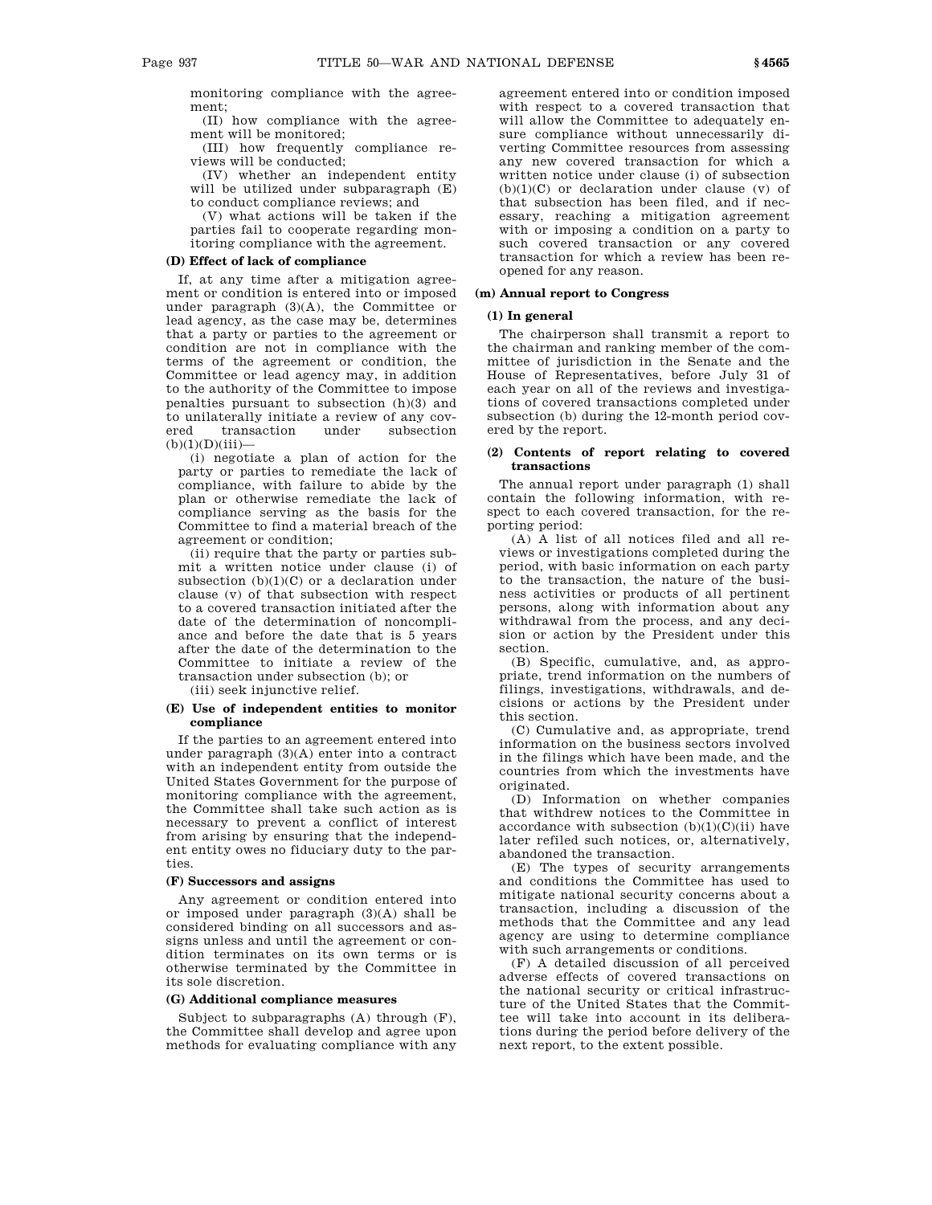monitoring compliance with the agreement;

(II) how compliance with the agreement will be monitored;

(III) how frequently compliance reviews will be conducted;

(IV) whether an independent entity will be utilized under subparagraph (E) to conduct compliance reviews; and

(V) what actions will be taken if the parties fail to cooperate regarding monitoring compliance with the agreement.

# **(D) Effect of lack of compliance**

If, at any time after a mitigation agreement or condition is entered into or imposed under paragraph (3)(A), the Committee or lead agency, as the case may be, determines that a party or parties to the agreement or condition are not in compliance with the terms of the agreement or condition, the Committee or lead agency may, in addition to the authority of the Committee to impose penalties pursuant to subsection (h)(3) and to unilaterally initiate a review of any covered transaction under subsection  $(b)(1)(D)(iii)$ 

(i) negotiate a plan of action for the party or parties to remediate the lack of compliance, with failure to abide by the plan or otherwise remediate the lack of compliance serving as the basis for the Committee to find a material breach of the agreement or condition;

(ii) require that the party or parties submit a written notice under clause (i) of subsection  $(b)(1)(C)$  or a declaration under clause (v) of that subsection with respect to a covered transaction initiated after the date of the determination of noncompliance and before the date that is 5 years after the date of the determination to the Committee to initiate a review of the transaction under subsection (b); or

(iii) seek injunctive relief.

## **(E) Use of independent entities to monitor compliance**

If the parties to an agreement entered into under paragraph (3)(A) enter into a contract with an independent entity from outside the United States Government for the purpose of monitoring compliance with the agreement, the Committee shall take such action as is necessary to prevent a conflict of interest from arising by ensuring that the independent entity owes no fiduciary duty to the parties.

## **(F) Successors and assigns**

Any agreement or condition entered into or imposed under paragraph (3)(A) shall be considered binding on all successors and assigns unless and until the agreement or condition terminates on its own terms or is otherwise terminated by the Committee in its sole discretion.

### **(G) Additional compliance measures**

Subject to subparagraphs (A) through (F), the Committee shall develop and agree upon methods for evaluating compliance with any agreement entered into or condition imposed with respect to a covered transaction that will allow the Committee to adequately ensure compliance without unnecessarily diverting Committee resources from assessing any new covered transaction for which a written notice under clause (i) of subsection  $(b)(1)(C)$  or declaration under clause  $(v)$  of that subsection has been filed, and if necessary, reaching a mitigation agreement with or imposing a condition on a party to such covered transaction or any covered transaction for which a review has been reopened for any reason.

# **(m) Annual report to Congress**

### **(1) In general**

The chairperson shall transmit a report to the chairman and ranking member of the committee of jurisdiction in the Senate and the House of Representatives, before July 31 of each year on all of the reviews and investigations of covered transactions completed under subsection (b) during the 12-month period covered by the report.

### **(2) Contents of report relating to covered transactions**

The annual report under paragraph (1) shall contain the following information, with respect to each covered transaction, for the reporting period:

(A) A list of all notices filed and all reviews or investigations completed during the period, with basic information on each party to the transaction, the nature of the business activities or products of all pertinent persons, along with information about any withdrawal from the process, and any decision or action by the President under this section.

(B) Specific, cumulative, and, as appropriate, trend information on the numbers of filings, investigations, withdrawals, and decisions or actions by the President under this section.

(C) Cumulative and, as appropriate, trend information on the business sectors involved in the filings which have been made, and the countries from which the investments have originated.

(D) Information on whether companies that withdrew notices to the Committee in accordance with subsection  $(b)(1)(C)(ii)$  have later refiled such notices, or, alternatively, abandoned the transaction.

(E) The types of security arrangements and conditions the Committee has used to mitigate national security concerns about a transaction, including a discussion of the methods that the Committee and any lead agency are using to determine compliance with such arrangements or conditions.

(F) A detailed discussion of all perceived adverse effects of covered transactions on the national security or critical infrastructure of the United States that the Committee will take into account in its deliberations during the period before delivery of the next report, to the extent possible.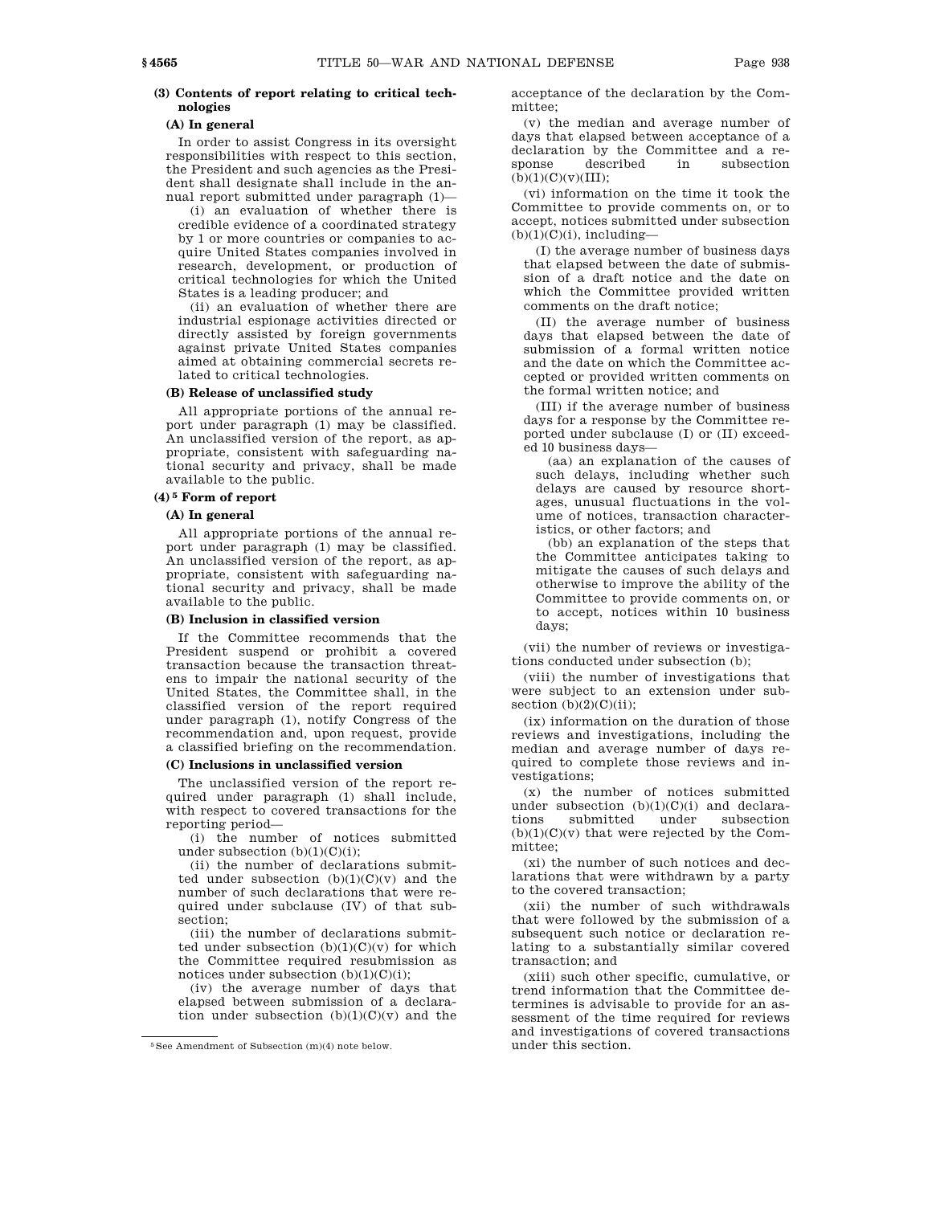# **(3) Contents of report relating to critical technologies**

# **(A) In general**

In order to assist Congress in its oversight responsibilities with respect to this section, the President and such agencies as the President shall designate shall include in the annual report submitted under paragraph (1)—

(i) an evaluation of whether there is credible evidence of a coordinated strategy by 1 or more countries or companies to acquire United States companies involved in research, development, or production of critical technologies for which the United States is a leading producer; and

(ii) an evaluation of whether there are industrial espionage activities directed or directly assisted by foreign governments against private United States companies aimed at obtaining commercial secrets related to critical technologies.

### **(B) Release of unclassified study**

All appropriate portions of the annual report under paragraph (1) may be classified. An unclassified version of the report, as appropriate, consistent with safeguarding national security and privacy, shall be made available to the public.

# **(4) 5 Form of report**

# **(A) In general**

All appropriate portions of the annual report under paragraph (1) may be classified. An unclassified version of the report, as appropriate, consistent with safeguarding national security and privacy, shall be made available to the public.

### **(B) Inclusion in classified version**

If the Committee recommends that the President suspend or prohibit a covered transaction because the transaction threatens to impair the national security of the United States, the Committee shall, in the classified version of the report required under paragraph (1), notify Congress of the recommendation and, upon request, provide a classified briefing on the recommendation.

### **(C) Inclusions in unclassified version**

The unclassified version of the report required under paragraph (1) shall include, with respect to covered transactions for the reporting period—

(i) the number of notices submitted under subsection  $(b)(1)(C)(i)$ ;

(ii) the number of declarations submitted under subsection  $(b)(1)(C)(v)$  and the number of such declarations that were required under subclause (IV) of that subsection;

(iii) the number of declarations submitted under subsection  $(b)(1)(C)(v)$  for which the Committee required resubmission as notices under subsection  $(b)(1)(C)(i)$ ;

(iv) the average number of days that elapsed between submission of a declaration under subsection  $(b)(1)(C)(v)$  and the

acceptance of the declaration by the Committee;

(v) the median and average number of days that elapsed between acceptance of a declaration by the Committee and a response described in subsection  $(b)(1)(C)(v)(III);$ 

(vi) information on the time it took the Committee to provide comments on, or to accept, notices submitted under subsection  $(b)(1)(C)(i)$ , including—

(I) the average number of business days that elapsed between the date of submission of a draft notice and the date on which the Committee provided written comments on the draft notice;

(II) the average number of business days that elapsed between the date of submission of a formal written notice and the date on which the Committee accepted or provided written comments on the formal written notice; and

(III) if the average number of business days for a response by the Committee reported under subclause (I) or (II) exceeded 10 business days—

(aa) an explanation of the causes of such delays, including whether such delays are caused by resource shortages, unusual fluctuations in the volume of notices, transaction characteristics, or other factors; and

(bb) an explanation of the steps that the Committee anticipates taking to mitigate the causes of such delays and otherwise to improve the ability of the Committee to provide comments on, or to accept, notices within 10 business days;

(vii) the number of reviews or investigations conducted under subsection (b);

(viii) the number of investigations that were subject to an extension under subsection  $(b)(2)(C)(ii)$ ;

(ix) information on the duration of those reviews and investigations, including the median and average number of days required to complete those reviews and investigations;

(x) the number of notices submitted under subsection  $(b)(1)(C)(i)$  and declarations submitted under subsection  $(b)(1)(C)(v)$  that were rejected by the Committee;

(xi) the number of such notices and declarations that were withdrawn by a party to the covered transaction;

(xii) the number of such withdrawals that were followed by the submission of a subsequent such notice or declaration relating to a substantially similar covered transaction; and

(xiii) such other specific, cumulative, or trend information that the Committee determines is advisable to provide for an assessment of the time required for reviews and investigations of covered transactions under this section.

<sup>5</sup>See Amendment of Subsection (m)(4) note below.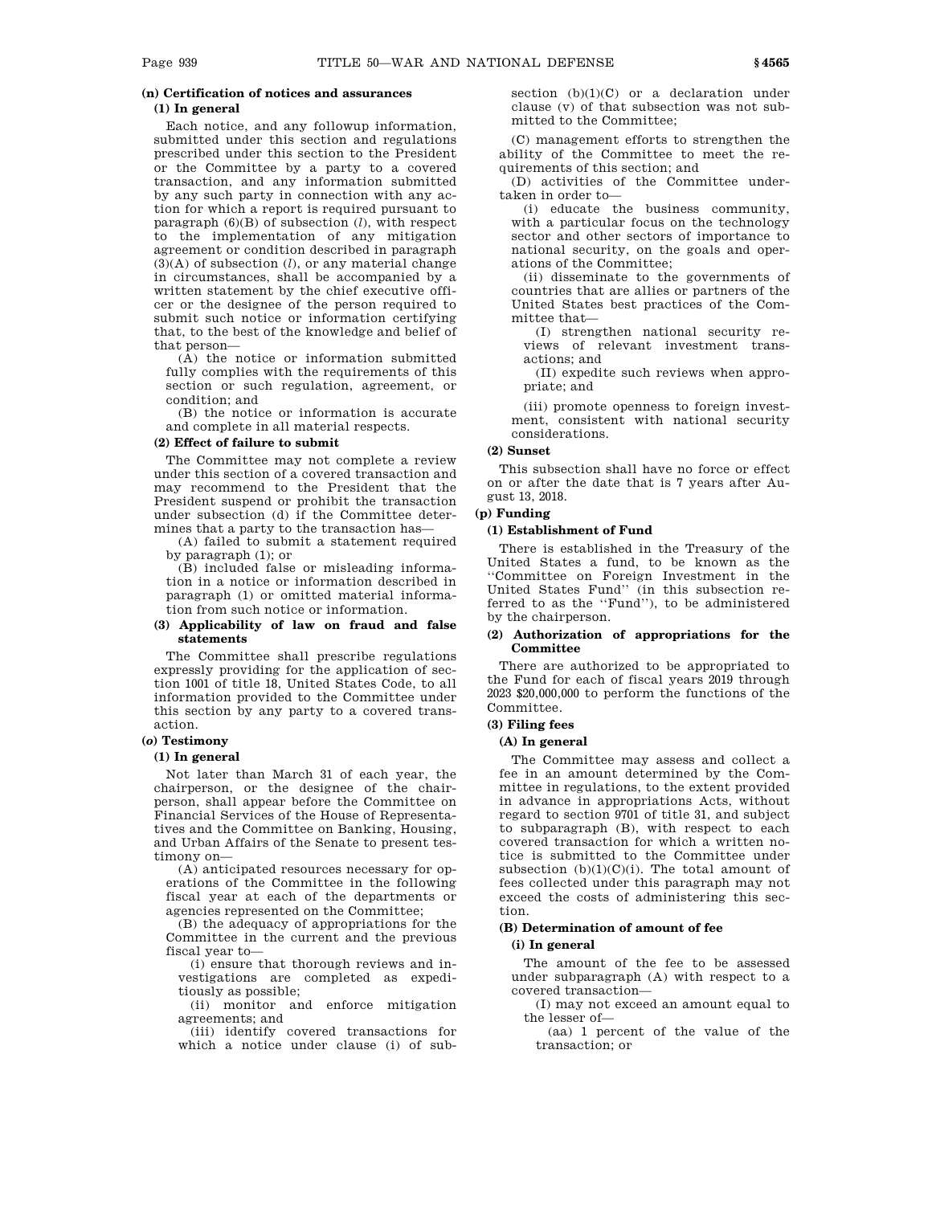# **(n) Certification of notices and assurances (1) In general**

Each notice, and any followup information, submitted under this section and regulations prescribed under this section to the President or the Committee by a party to a covered transaction, and any information submitted by any such party in connection with any action for which a report is required pursuant to paragraph (6)(B) of subsection (*l*), with respect to the implementation of any mitigation agreement or condition described in paragraph (3)(A) of subsection (*l*), or any material change in circumstances, shall be accompanied by a written statement by the chief executive officer or the designee of the person required to submit such notice or information certifying that, to the best of the knowledge and belief of that person—

(A) the notice or information submitted fully complies with the requirements of this section or such regulation, agreement, or condition; and

(B) the notice or information is accurate and complete in all material respects.

# **(2) Effect of failure to submit**

The Committee may not complete a review under this section of a covered transaction and may recommend to the President that the President suspend or prohibit the transaction under subsection (d) if the Committee determines that a party to the transaction has—

(A) failed to submit a statement required by paragraph (1); or

(B) included false or misleading information in a notice or information described in paragraph (1) or omitted material information from such notice or information.

## **(3) Applicability of law on fraud and false statements**

The Committee shall prescribe regulations expressly providing for the application of section 1001 of title 18, United States Code, to all information provided to the Committee under this section by any party to a covered transaction.

## **(***o***) Testimony**

### **(1) In general**

Not later than March 31 of each year, the chairperson, or the designee of the chairperson, shall appear before the Committee on Financial Services of the House of Representatives and the Committee on Banking, Housing, and Urban Affairs of the Senate to present testimony on—

(A) anticipated resources necessary for operations of the Committee in the following fiscal year at each of the departments or agencies represented on the Committee;

(B) the adequacy of appropriations for the Committee in the current and the previous fiscal year to—

(i) ensure that thorough reviews and investigations are completed as expeditiously as possible;

(ii) monitor and enforce mitigation agreements; and

(iii) identify covered transactions for which a notice under clause (i) of subsection  $(b)(1)(C)$  or a declaration under clause (v) of that subsection was not submitted to the Committee;

(C) management efforts to strengthen the ability of the Committee to meet the requirements of this section; and

(D) activities of the Committee undertaken in order to—

(i) educate the business community, with a particular focus on the technology sector and other sectors of importance to national security, on the goals and operations of the Committee;

(ii) disseminate to the governments of countries that are allies or partners of the United States best practices of the Committee that—

(I) strengthen national security reviews of relevant investment transactions; and

(II) expedite such reviews when appropriate; and

(iii) promote openness to foreign investment, consistent with national security considerations.

# **(2) Sunset**

This subsection shall have no force or effect on or after the date that is 7 years after August 13, 2018.

### **(p) Funding**

# **(1) Establishment of Fund**

There is established in the Treasury of the United States a fund, to be known as the ''Committee on Foreign Investment in the United States Fund'' (in this subsection referred to as the ''Fund''), to be administered by the chairperson.

### **(2) Authorization of appropriations for the Committee**

There are authorized to be appropriated to the Fund for each of fiscal years 2019 through 2023 \$20,000,000 to perform the functions of the Committee.

### **(3) Filing fees**

### **(A) In general**

The Committee may assess and collect a fee in an amount determined by the Committee in regulations, to the extent provided in advance in appropriations Acts, without regard to section 9701 of title 31, and subject to subparagraph (B), with respect to each covered transaction for which a written notice is submitted to the Committee under subsection  $(b)(1)(C)(i)$ . The total amount of fees collected under this paragraph may not exceed the costs of administering this section.

# **(B) Determination of amount of fee**

# **(i) In general**

The amount of the fee to be assessed under subparagraph (A) with respect to a covered transaction—

(I) may not exceed an amount equal to the lesser of—

(aa) 1 percent of the value of the transaction; or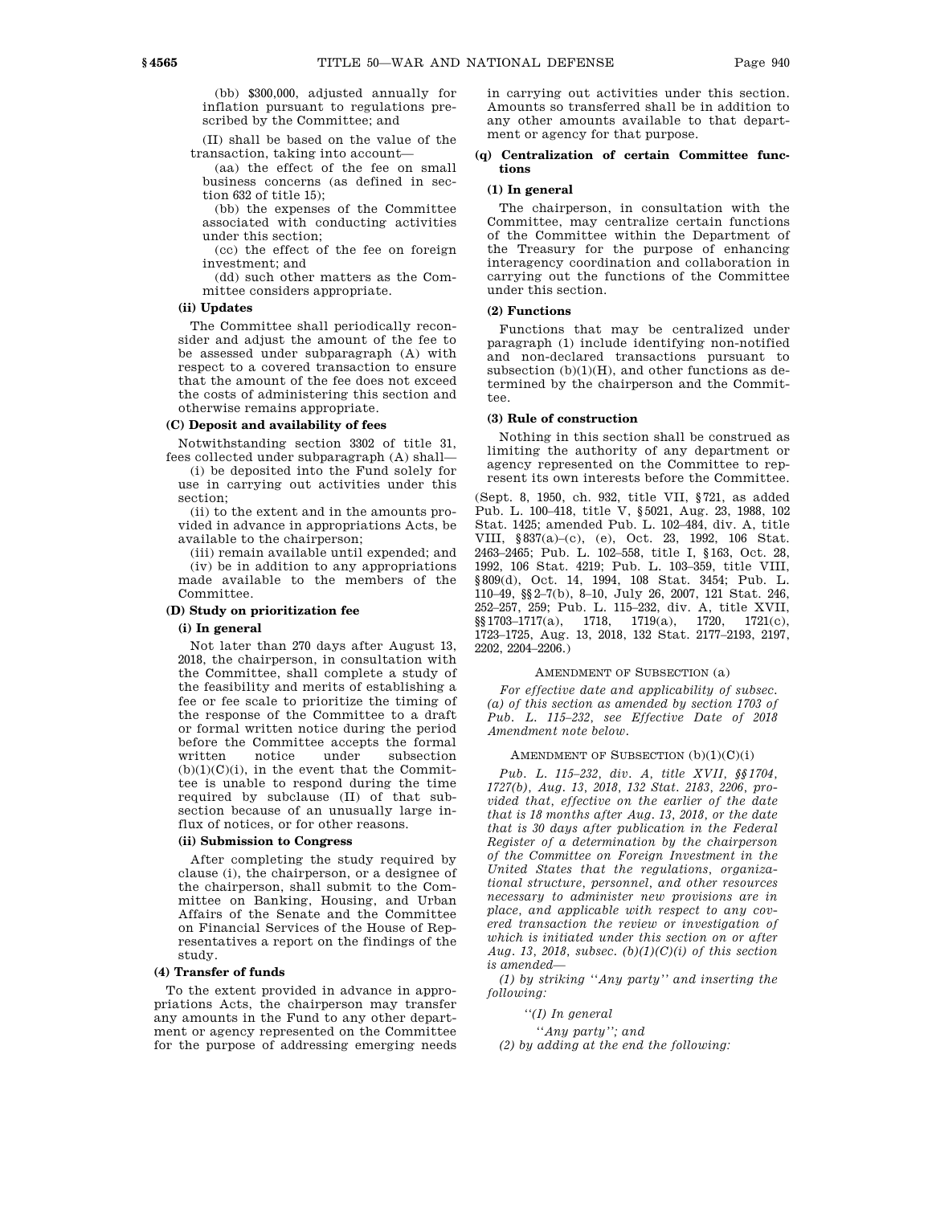(bb) \$300,000, adjusted annually for inflation pursuant to regulations prescribed by the Committee; and

(II) shall be based on the value of the transaction, taking into account—

(aa) the effect of the fee on small business concerns (as defined in section 632 of title 15);

(bb) the expenses of the Committee associated with conducting activities under this section;

(cc) the effect of the fee on foreign investment; and

(dd) such other matters as the Committee considers appropriate.

# **(ii) Updates**

The Committee shall periodically reconsider and adjust the amount of the fee to be assessed under subparagraph (A) with respect to a covered transaction to ensure that the amount of the fee does not exceed the costs of administering this section and otherwise remains appropriate.

## **(C) Deposit and availability of fees**

Notwithstanding section 3302 of title 31,

fees collected under subparagraph (A) shall— (i) be deposited into the Fund solely for use in carrying out activities under this section;

(ii) to the extent and in the amounts provided in advance in appropriations Acts, be available to the chairperson;

(iii) remain available until expended; and (iv) be in addition to any appropriations made available to the members of the Committee.

# **(D) Study on prioritization fee**

### **(i) In general**

Not later than 270 days after August 13, 2018, the chairperson, in consultation with the Committee, shall complete a study of the feasibility and merits of establishing a fee or fee scale to prioritize the timing of the response of the Committee to a draft or formal written notice during the period before the Committee accepts the formal<br>written motice under subsection written notice under subsection  $(b)(1)(C)(i)$ , in the event that the Committee is unable to respond during the time required by subclause (II) of that subsection because of an unusually large influx of notices, or for other reasons.

# **(ii) Submission to Congress**

After completing the study required by clause (i), the chairperson, or a designee of the chairperson, shall submit to the Committee on Banking, Housing, and Urban Affairs of the Senate and the Committee on Financial Services of the House of Representatives a report on the findings of the study.

# **(4) Transfer of funds**

To the extent provided in advance in appropriations Acts, the chairperson may transfer any amounts in the Fund to any other department or agency represented on the Committee for the purpose of addressing emerging needs in carrying out activities under this section. Amounts so transferred shall be in addition to any other amounts available to that department or agency for that purpose.

### **(q) Centralization of certain Committee functions**

# **(1) In general**

The chairperson, in consultation with the Committee, may centralize certain functions of the Committee within the Department of the Treasury for the purpose of enhancing interagency coordination and collaboration in carrying out the functions of the Committee under this section.

# **(2) Functions**

Functions that may be centralized under paragraph (1) include identifying non-notified and non-declared transactions pursuant to subsection  $(b)(1)(H)$ , and other functions as determined by the chairperson and the Committee.

### **(3) Rule of construction**

Nothing in this section shall be construed as limiting the authority of any department or agency represented on the Committee to represent its own interests before the Committee.

(Sept. 8, 1950, ch. 932, title VII, §721, as added Pub. L. 100–418, title V, §5021, Aug. 23, 1988, 102 Stat. 1425; amended Pub. L. 102–484, div. A, title VIII, §837(a)–(c), (e), Oct. 23, 1992, 106 Stat. 2463–2465; Pub. L. 102–558, title I, §163, Oct. 28, 1992, 106 Stat. 4219; Pub. L. 103–359, title VIII, §809(d), Oct. 14, 1994, 108 Stat. 3454; Pub. L. 110–49, §§2–7(b), 8–10, July 26, 2007, 121 Stat. 246, 252–257, 259; Pub. L. 115–232, div. A, title XVII,  $\S$ [3] 1703–1717(a), 1718, 1719(a), 1720, 1721(c), 1723–1725, Aug. 13, 2018, 132 Stat. 2177–2193, 2197, 2202, 2204–2206.)

### AMENDMENT OF SUBSECTION (a)

*For effective date and applicability of subsec. (a) of this section as amended by section 1703 of Pub. L. 115–232, see Effective Date of 2018 Amendment note below.*

### AMENDMENT OF SUBSECTION  $(b)(1)(C)(i)$

*Pub. L. 115–232, div. A, title XVII, §§1704, 1727(b), Aug. 13, 2018, 132 Stat. 2183, 2206, provided that, effective on the earlier of the date that is 18 months after Aug. 13, 2018, or the date that is 30 days after publication in the Federal Register of a determination by the chairperson of the Committee on Foreign Investment in the United States that the regulations, organizational structure, personnel, and other resources necessary to administer new provisions are in place, and applicable with respect to any covered transaction the review or investigation of which is initiated under this section on or after Aug. 13, 2018, subsec. (b)(1)(C)(i) of this section is amended—*

*(1) by striking ''Any party'' and inserting the following:*

*''(I) In general*

*''Any party''; and*

*(2) by adding at the end the following:*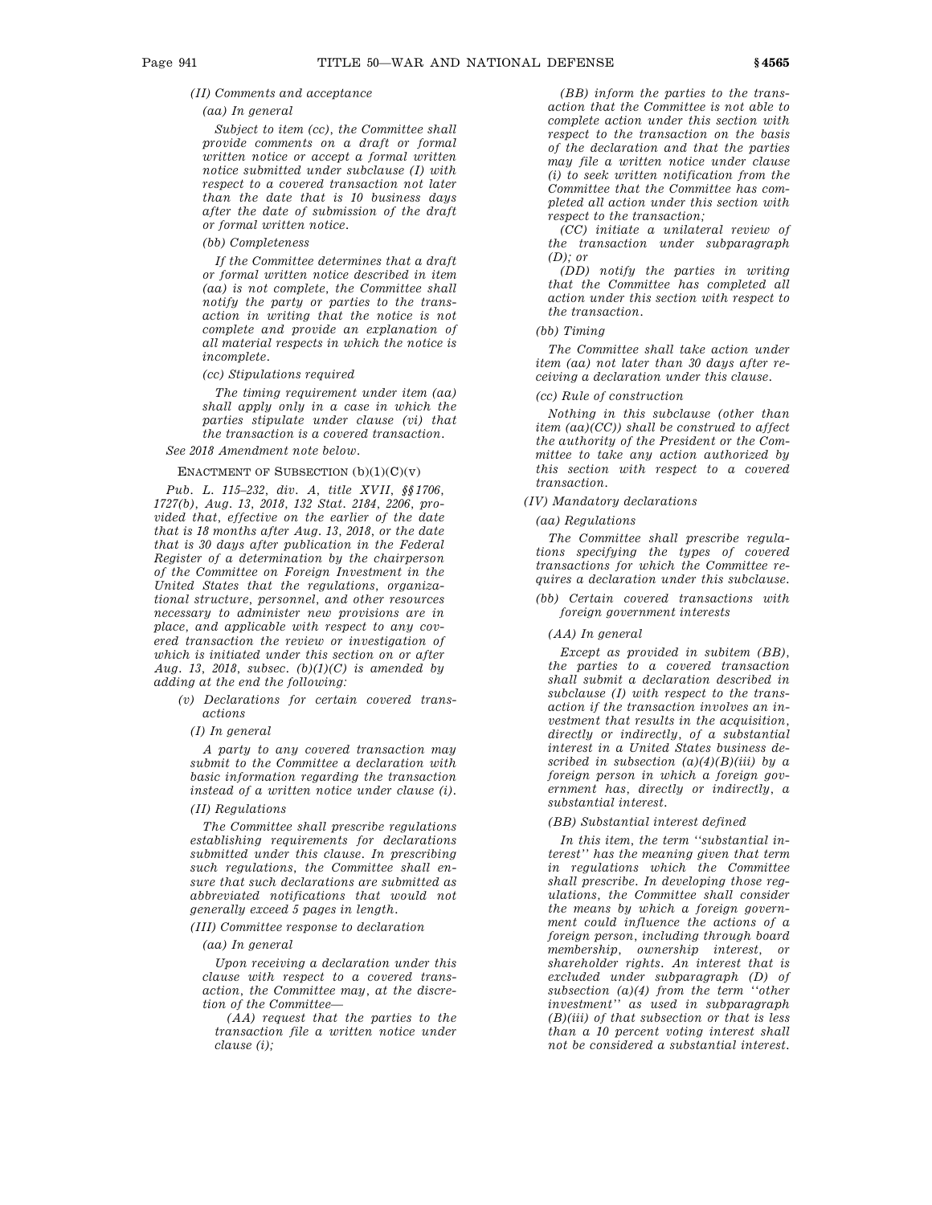## *(II) Comments and acceptance*

### *(aa) In general*

*Subject to item (cc), the Committee shall provide comments on a draft or formal written notice or accept a formal written notice submitted under subclause (I) with respect to a covered transaction not later than the date that is 10 business days after the date of submission of the draft or formal written notice.*

# *(bb) Completeness*

*If the Committee determines that a draft or formal written notice described in item (aa) is not complete, the Committee shall notify the party or parties to the transaction in writing that the notice is not complete and provide an explanation of all material respects in which the notice is incomplete.*

*(cc) Stipulations required*

*The timing requirement under item (aa) shall apply only in a case in which the parties stipulate under clause (vi) that the transaction is a covered transaction.*

*See 2018 Amendment note below.*

### ENACTMENT OF SUBSECTION  $(b)(1)(C)(v)$

*Pub. L. 115–232, div. A, title XVII, §§1706, 1727(b), Aug. 13, 2018, 132 Stat. 2184, 2206, provided that, effective on the earlier of the date that is 18 months after Aug. 13, 2018, or the date that is 30 days after publication in the Federal Register of a determination by the chairperson of the Committee on Foreign Investment in the United States that the regulations, organizational structure, personnel, and other resources necessary to administer new provisions are in place, and applicable with respect to any covered transaction the review or investigation of which is initiated under this section on or after Aug. 13, 2018, subsec. (b)(1)(C) is amended by adding at the end the following:*

*(v) Declarations for certain covered transactions*

## *(I) In general*

*A party to any covered transaction may submit to the Committee a declaration with basic information regarding the transaction instead of a written notice under clause (i).*

# *(II) Regulations*

*The Committee shall prescribe regulations establishing requirements for declarations submitted under this clause. In prescribing such regulations, the Committee shall ensure that such declarations are submitted as abbreviated notifications that would not generally exceed 5 pages in length.*

# *(III) Committee response to declaration*

# *(aa) In general*

*Upon receiving a declaration under this clause with respect to a covered transaction, the Committee may, at the discretion of the Committee—*

*(AA) request that the parties to the transaction file a written notice under clause (i);*

*(BB) inform the parties to the transaction that the Committee is not able to complete action under this section with respect to the transaction on the basis of the declaration and that the parties may file a written notice under clause (i) to seek written notification from the Committee that the Committee has completed all action under this section with respect to the transaction;*

*(CC) initiate a unilateral review of the transaction under subparagraph (D); or*

*(DD) notify the parties in writing that the Committee has completed all action under this section with respect to the transaction.*

### *(bb) Timing*

*The Committee shall take action under item (aa) not later than 30 days after receiving a declaration under this clause.*

### *(cc) Rule of construction*

*Nothing in this subclause (other than item (aa)(CC)) shall be construed to affect the authority of the President or the Committee to take any action authorized by this section with respect to a covered transaction.*

# *(IV) Mandatory declarations*

*(aa) Regulations*

*The Committee shall prescribe regulations specifying the types of covered transactions for which the Committee requires a declaration under this subclause.*

## *(bb) Certain covered transactions with foreign government interests*

*(AA) In general*

*Except as provided in subitem (BB), the parties to a covered transaction shall submit a declaration described in subclause (I) with respect to the transaction if the transaction involves an investment that results in the acquisition, directly or indirectly, of a substantial interest in a United States business described in subsection (a)(4)(B)(iii) by a foreign person in which a foreign government has, directly or indirectly, a substantial interest.*

### *(BB) Substantial interest defined*

*In this item, the term ''substantial interest'' has the meaning given that term in regulations which the Committee shall prescribe. In developing those regulations, the Committee shall consider the means by which a foreign government could influence the actions of a foreign person, including through board membership, ownership interest, or shareholder rights. An interest that is excluded under subparagraph (D) of subsection (a)(4) from the term ''other investment'' as used in subparagraph (B)(iii) of that subsection or that is less than a 10 percent voting interest shall not be considered a substantial interest.*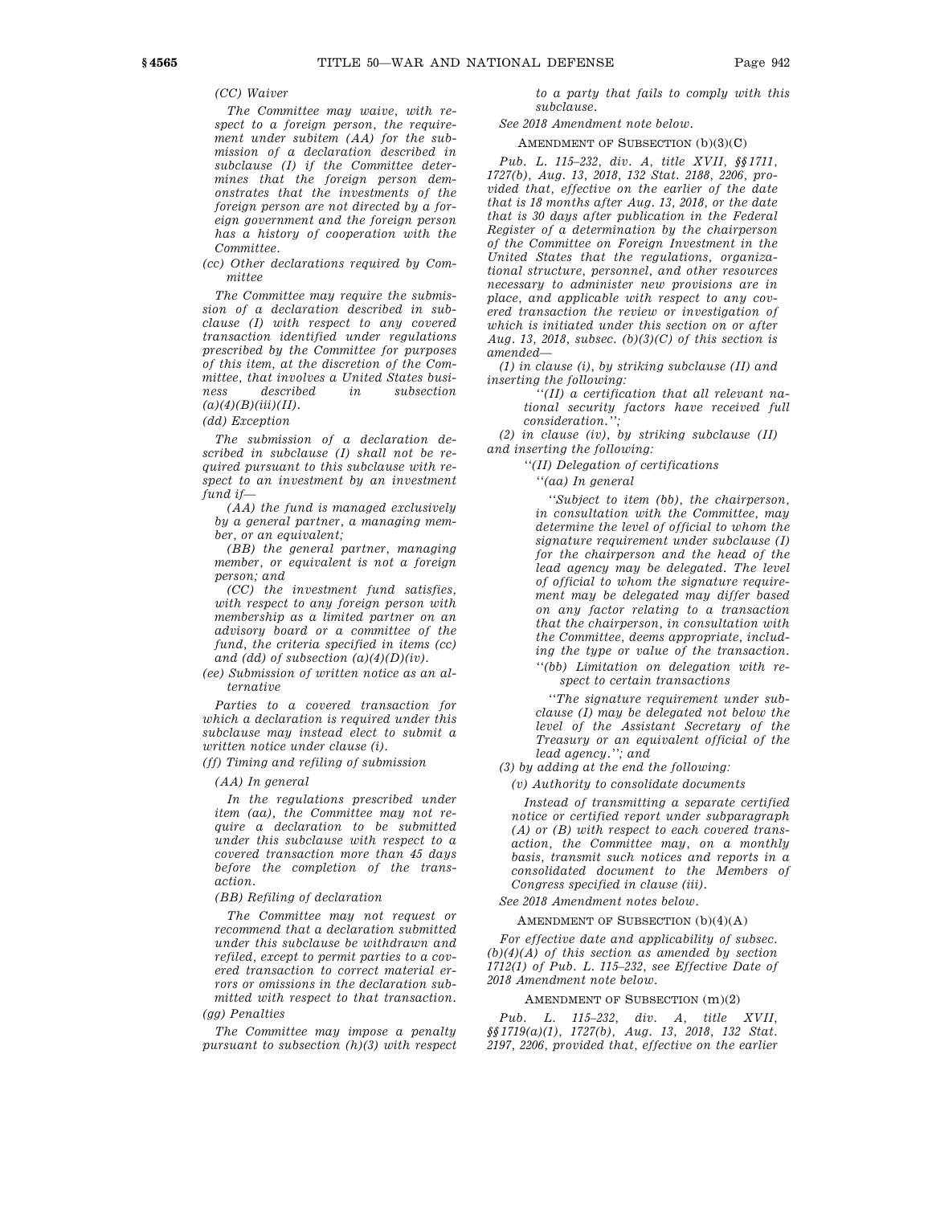# *(CC) Waiver*

*The Committee may waive, with respect to a foreign person, the requirement under subitem (AA) for the submission of a declaration described in subclause (I) if the Committee determines that the foreign person demonstrates that the investments of the foreign person are not directed by a foreign government and the foreign person has a history of cooperation with the Committee.*

*(cc) Other declarations required by Committee*

*The Committee may require the submission of a declaration described in subclause (I) with respect to any covered transaction identified under regulations prescribed by the Committee for purposes of this item, at the discretion of the Committee, that involves a United States business described in subsection (a)(4)(B)(iii)(II).*

*(dd) Exception*

*The submission of a declaration described in subclause (I) shall not be required pursuant to this subclause with respect to an investment by an investment fund if—*

*(AA) the fund is managed exclusively by a general partner, a managing member, or an equivalent;*

*(BB) the general partner, managing member, or equivalent is not a foreign person; and*

*(CC) the investment fund satisfies, with respect to any foreign person with membership as a limited partner on an advisory board or a committee of the fund, the criteria specified in items (cc) and (dd) of subsection (a)(4)(D)(iv).*

*(ee) Submission of written notice as an alternative*

*Parties to a covered transaction for which a declaration is required under this subclause may instead elect to submit a written notice under clause (i).*

*(ff) Timing and refiling of submission*

*(AA) In general*

*In the regulations prescribed under item (aa), the Committee may not require a declaration to be submitted under this subclause with respect to a covered transaction more than 45 days before the completion of the transaction.*

*(BB) Refiling of declaration*

*The Committee may not request or recommend that a declaration submitted under this subclause be withdrawn and refiled, except to permit parties to a covered transaction to correct material errors or omissions in the declaration submitted with respect to that transaction. (gg) Penalties*

*The Committee may impose a penalty pursuant to subsection (h)(3) with respect* *to a party that fails to comply with this subclause.*

*See 2018 Amendment note below.*

# AMENDMENT OF SUBSECTION (b)(3)(C)

*Pub. L. 115–232, div. A, title XVII, §§1711, 1727(b), Aug. 13, 2018, 132 Stat. 2188, 2206, provided that, effective on the earlier of the date that is 18 months after Aug. 13, 2018, or the date that is 30 days after publication in the Federal Register of a determination by the chairperson of the Committee on Foreign Investment in the United States that the regulations, organizational structure, personnel, and other resources necessary to administer new provisions are in place, and applicable with respect to any covered transaction the review or investigation of which is initiated under this section on or after Aug. 13, 2018, subsec. (b)(3)(C) of this section is amended—*

*(1) in clause (i), by striking subclause (II) and inserting the following:*

*''(II) a certification that all relevant national security factors have received full consideration.'';*

*(2) in clause (iv), by striking subclause (II) and inserting the following:*

*''(II) Delegation of certifications*

*''(aa) In general*

*''Subject to item (bb), the chairperson, in consultation with the Committee, may determine the level of official to whom the signature requirement under subclause (I) for the chairperson and the head of the lead agency may be delegated. The level of official to whom the signature requirement may be delegated may differ based on any factor relating to a transaction that the chairperson, in consultation with the Committee, deems appropriate, including the type or value of the transaction. ''(bb) Limitation on delegation with respect to certain transactions*

*''The signature requirement under subclause (I) may be delegated not below the level of the Assistant Secretary of the Treasury or an equivalent official of the lead agency.''; and*

*(3) by adding at the end the following:*

*(v) Authority to consolidate documents*

*Instead of transmitting a separate certified notice or certified report under subparagraph (A) or (B) with respect to each covered transaction, the Committee may, on a monthly basis, transmit such notices and reports in a consolidated document to the Members of Congress specified in clause (iii).*

*See 2018 Amendment notes below.*

AMENDMENT OF SUBSECTION (b)(4)(A)

*For effective date and applicability of subsec. (b)(4)(A) of this section as amended by section 1712(1) of Pub. L. 115–232, see Effective Date of 2018 Amendment note below.*

### AMENDMENT OF SUBSECTION (m)(2)

*Pub. L. 115–232, div. A, title XVII, §§1719(a)(1), 1727(b), Aug. 13, 2018, 132 Stat. 2197, 2206, provided that, effective on the earlier*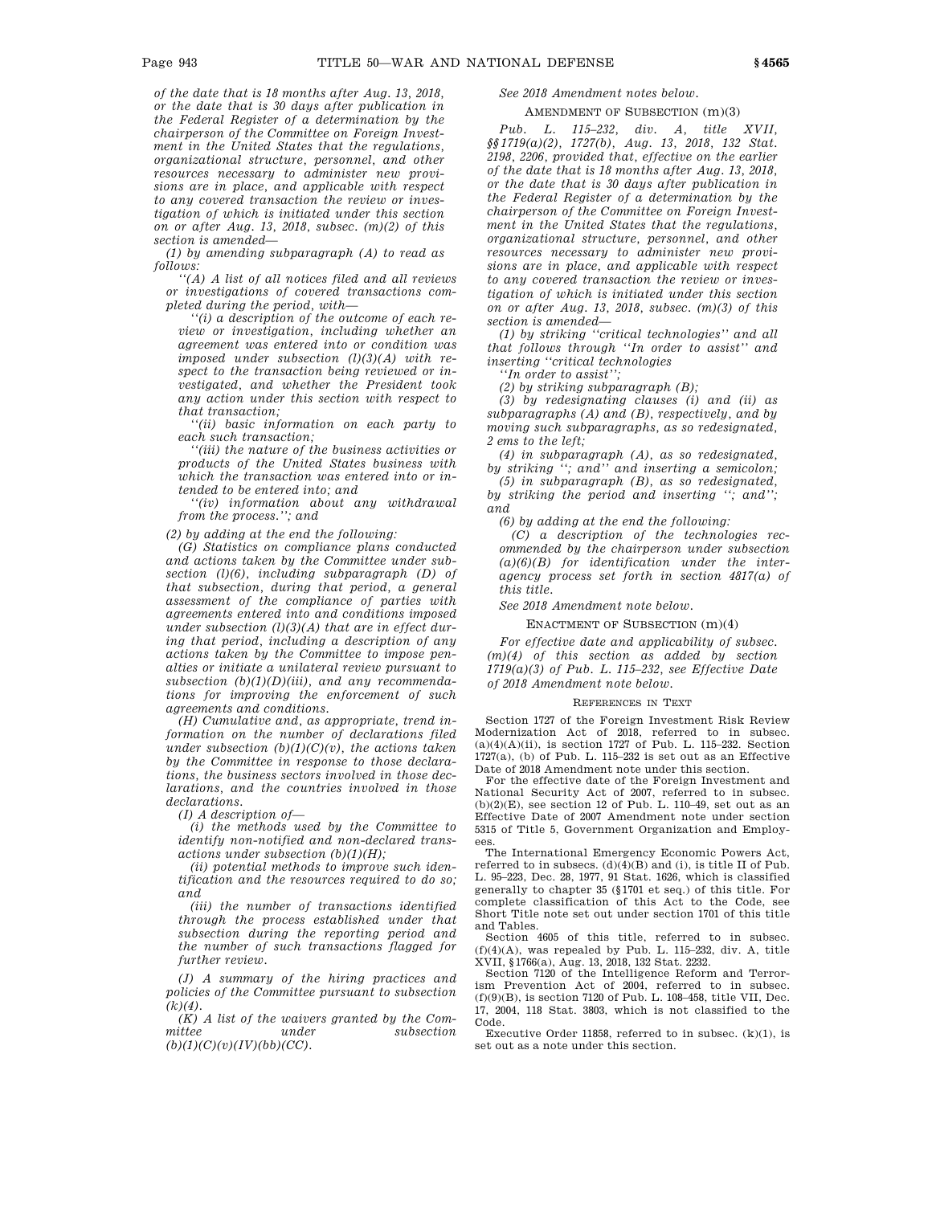*of the date that is 18 months after Aug. 13, 2018, or the date that is 30 days after publication in the Federal Register of a determination by the chairperson of the Committee on Foreign Investment in the United States that the regulations, organizational structure, personnel, and other resources necessary to administer new provisions are in place, and applicable with respect to any covered transaction the review or investigation of which is initiated under this section on or after Aug. 13, 2018, subsec. (m)(2) of this section is amended—*

*(1) by amending subparagraph (A) to read as follows:*

*''(A) A list of all notices filed and all reviews or investigations of covered transactions completed during the period, with—*

*''(i) a description of the outcome of each review or investigation, including whether an agreement was entered into or condition was imposed under subsection (l)(3)(A) with respect to the transaction being reviewed or investigated, and whether the President took any action under this section with respect to that transaction;*

*''(ii) basic information on each party to each such transaction;*

*''(iii) the nature of the business activities or products of the United States business with which the transaction was entered into or intended to be entered into; and*

*''(iv) information about any withdrawal from the process.''; and*

*(2) by adding at the end the following:*

*(G) Statistics on compliance plans conducted and actions taken by the Committee under subsection (l)(6), including subparagraph (D) of that subsection, during that period, a general assessment of the compliance of parties with agreements entered into and conditions imposed under subsection (l)(3)(A) that are in effect during that period, including a description of any actions taken by the Committee to impose penalties or initiate a unilateral review pursuant to subsection (b)(1)(D)(iii), and any recommendations for improving the enforcement of such agreements and conditions.*

*(H) Cumulative and, as appropriate, trend information on the number of declarations filed under subsection (b)(1)(C)(v), the actions taken by the Committee in response to those declarations, the business sectors involved in those declarations, and the countries involved in those declarations.*

*(I) A description of—*

*(i) the methods used by the Committee to identify non-notified and non-declared transactions under subsection (b)(1)(H);*

*(ii) potential methods to improve such identification and the resources required to do so; and*

*(iii) the number of transactions identified through the process established under that subsection during the reporting period and the number of such transactions flagged for further review.*

*(J) A summary of the hiring practices and policies of the Committee pursuant to subsection (k)(4).*

*(K) A list of the waivers granted by the Committee under subsection (b)(1)(C)(v)(IV)(bb)(CC).*

*See 2018 Amendment notes below.*

AMENDMENT OF SUBSECTION (m)(3)

*Pub. L. 115–232, div. A, title XVII, §§1719(a)(2), 1727(b), Aug. 13, 2018, 132 Stat. 2198, 2206, provided that, effective on the earlier of the date that is 18 months after Aug. 13, 2018, or the date that is 30 days after publication in the Federal Register of a determination by the chairperson of the Committee on Foreign Investment in the United States that the regulations, organizational structure, personnel, and other resources necessary to administer new provisions are in place, and applicable with respect to any covered transaction the review or investigation of which is initiated under this section on or after Aug. 13, 2018, subsec. (m)(3) of this section is amended—*

*(1) by striking ''critical technologies'' and all that follows through ''In order to assist'' and inserting ''critical technologies*

*''In order to assist'';*

*(2) by striking subparagraph (B);*

*(3) by redesignating clauses (i) and (ii) as subparagraphs (A) and (B), respectively, and by moving such subparagraphs, as so redesignated, 2 ems to the left;*

*(4) in subparagraph (A), as so redesignated, by striking ''; and'' and inserting a semicolon;*

*(5) in subparagraph (B), as so redesignated, by striking the period and inserting ''; and''; and*

*(6) by adding at the end the following:*

*(C) a description of the technologies recommended by the chairperson under subsection (a)(6)(B) for identification under the interagency process set forth in section 4817(a) of this title.*

*See 2018 Amendment note below.*

ENACTMENT OF SUBSECTION (m)(4)

*For effective date and applicability of subsec. (m)(4) of this section as added by section 1719(a)(3) of Pub. L. 115–232, see Effective Date of 2018 Amendment note below.*

# REFERENCES IN TEXT

Section 1727 of the Foreign Investment Risk Review Modernization Act of 2018, referred to in subsec.  $(a)(4)(A)(ii)$ , is section 1727 of Pub. L. 115–232. Section  $1727(a)$ , (b) of Pub. L.  $115-232$  is set out as an Effective Date of 2018 Amendment note under this section.

For the effective date of the Foreign Investment and National Security Act of 2007, referred to in subsec.  $(b)(2)(E)$ , see section 12 of Pub. L. 110–49, set out as an Effective Date of 2007 Amendment note under section 5315 of Title 5, Government Organization and Employees.

The International Emergency Economic Powers Act, referred to in subsecs.  $(d)(4)(B)$  and (i), is title II of Pub. L. 95–223, Dec. 28, 1977, 91 Stat. 1626, which is classified generally to chapter 35 (§1701 et seq.) of this title. For complete classification of this Act to the Code, see Short Title note set out under section 1701 of this title and Tables.

Section 4605 of this title, referred to in subsec.  $(f)(4)(A)$ , was repealed by Pub. L. 115-232, div. A, title XVII, §1766(a), Aug. 13, 2018, 132 Stat. 2232.

Section 7120 of the Intelligence Reform and Terrorism Prevention Act of 2004, referred to in subsec. (f)(9)(B), is section 7120 of Pub. L. 108–458, title VII, Dec. 17, 2004, 118 Stat. 3803, which is not classified to the Code.

Executive Order 11858, referred to in subsec. (k)(1), is set out as a note under this section.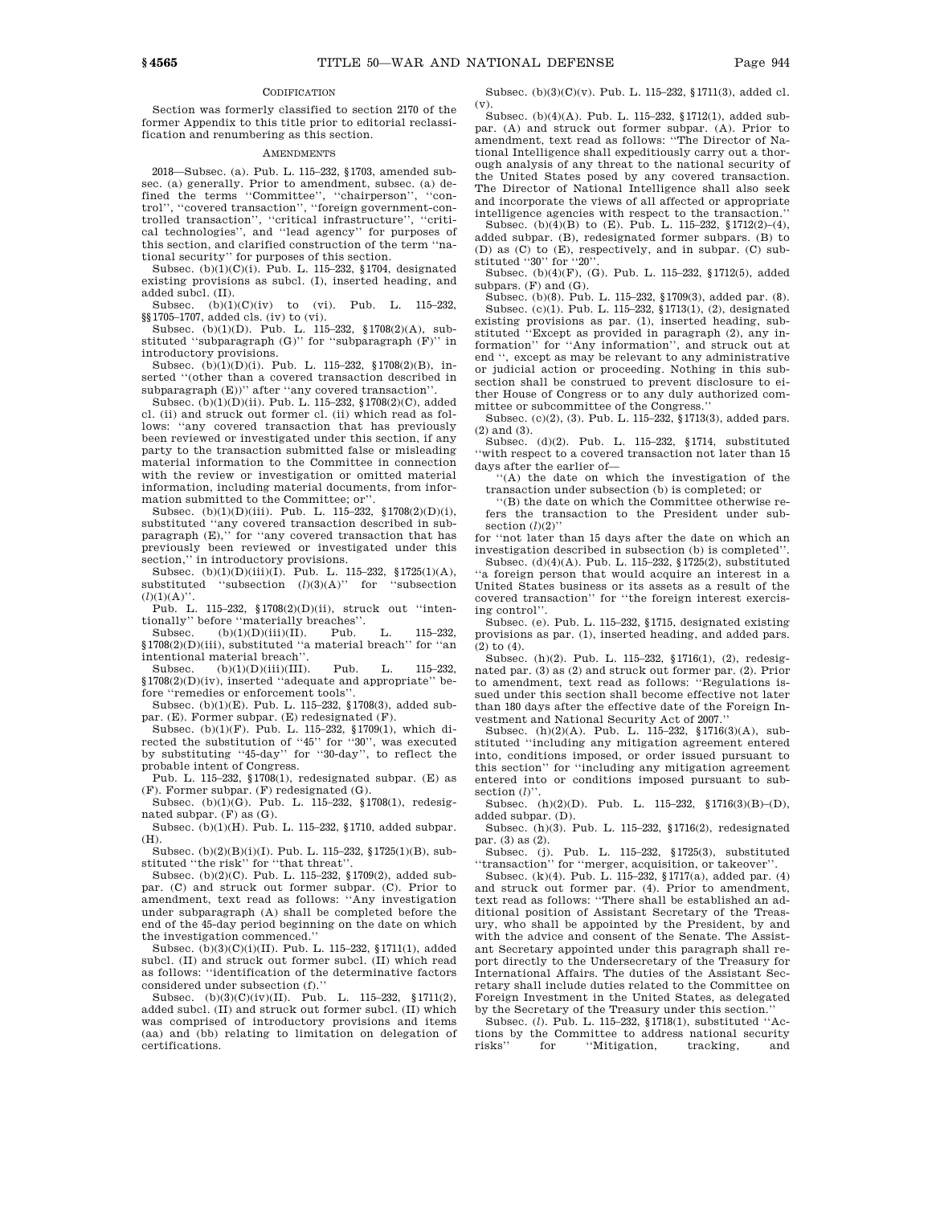### **CODIFICATION**

Section was formerly classified to section 2170 of the former Appendix to this title prior to editorial reclassification and renumbering as this section.

### AMENDMENTS

2018—Subsec. (a). Pub. L. 115–232, §1703, amended subsec. (a) generally. Prior to amendment, subsec. (a) defined the terms ''Committee'', ''chairperson'', ''control'', ''covered transaction'', ''foreign government-controlled transaction'', ''critical infrastructure'', ''critical technologies'', and ''lead agency'' for purposes of this section, and clarified construction of the term ''national security'' for purposes of this section.

Subsec. (b)(1)(C)(i). Pub. L. 115–232, §1704, designated existing provisions as subcl. (I), inserted heading, and added subcl. (II).

Subsec.  $(b)(1)(C)(iv)$  to (vi). Pub. L. 115–232, §§1705–1707, added cls. (iv) to (vi).

Subsec. (b)(1)(D). Pub. L. 115–232, §1708(2)(A), substituted ''subparagraph (G)'' for ''subparagraph (F)'' in introductory provisions.

Subsec. (b)(1)(D)(i). Pub. L. 115–232, §1708(2)(B), inserted "(other than a covered transaction described in subparagraph (E))'' after ''any covered transaction''.

Subsec. (b)(1)(D)(ii). Pub. L. 115–232, §1708(2)(C), added cl. (ii) and struck out former cl. (ii) which read as follows: "any covered transaction that has previously been reviewed or investigated under this section, if any party to the transaction submitted false or misleading material information to the Committee in connection with the review or investigation or omitted material information, including material documents, from information submitted to the Committee; or''.

Subsec.  $(b)(1)(D)(iii)$ . Pub. L. 115–232, §1708(2)(D)(i), substituted ''any covered transaction described in subparagraph (E),'' for ''any covered transaction that has previously been reviewed or investigated under this section,'' in introductory provisions.

Subsec. (b)(1)(D)(iii)(I). Pub. L. 115–232, §1725(1)(A), substituted ''subsection (*l*)(3)(A)'' for ''subsection  $(l)(1)(A)$ ".

Pub. L. 115–232, §1708(2)(D)(ii), struck out ''intentionally'' before ''materially breaches''.

Subsec. (b)(1)(D)(iii)(II). Pub. L. 115–232, §1708(2)(D)(iii), substituted ''a material breach'' for ''an intentional material breach''.

Subsec. (b)(1)(D)(iii)(III). Pub. L. 115–232, §1708(2)(D)(iv), inserted ''adequate and appropriate'' before ''remedies or enforcement tools''.

Subsec. (b)(1)(E). Pub. L. 115–232, §1708(3), added subpar. (E). Former subpar. (E) redesignated (F).

Subsec. (b)(1)(F). Pub. L. 115–232, §1709(1), which directed the substitution of ''45'' for ''30'', was executed by substituting ''45-day'' for ''30-day'', to reflect the probable intent of Congress.

Pub. L. 115–232, §1708(1), redesignated subpar. (E) as (F). Former subpar. (F) redesignated (G).

Subsec. (b)(1)(G). Pub. L. 115–232, §1708(1), redesignated subpar. (F) as (G).

Subsec. (b)(1)(H). Pub. L. 115–232, §1710, added subpar. (H).

Subsec. (b)(2)(B)(i)(I). Pub. L. 115–232, §1725(1)(B), substituted ''the risk'' for ''that threat''.

Subsec. (b)(2)(C). Pub. L. 115–232, §1709(2), added subpar. (C) and struck out former subpar. (C). Prior to amendment, text read as follows: ''Any investigation under subparagraph (A) shall be completed before the end of the 45-day period beginning on the date on which the investigation commenced.''

Subsec. (b)(3)(C)(i)(II). Pub. L. 115–232, §1711(1), added subcl. (II) and struck out former subcl. (II) which read as follows: ''identification of the determinative factors considered under subsection (f).''

 ${\tt Subsec.} \quad {\tt (b)(3)(C)(iv)(II).} \quad {\tt Pub.} \quad {\tt L.} \quad 115–232, \quad \S\,1711(2),$ added subcl. (II) and struck out former subcl. (II) which was comprised of introductory provisions and items (aa) and (bb) relating to limitation on delegation of certifications.

Subsec. (b)(3)(C)(v). Pub. L. 115–232, §1711(3), added cl. (v).

Subsec. (b)(4)(A). Pub. L. 115–232, §1712(1), added subpar. (A) and struck out former subpar. (A). Prior to amendment, text read as follows: ''The Director of National Intelligence shall expeditiously carry out a thorough analysis of any threat to the national security of the United States posed by any covered transaction. The Director of National Intelligence shall also seek and incorporate the views of all affected or appropriate intelligence agencies with respect to the transaction.''

Subsec. (b)( $4$ )(B) to (E). Pub. L. 115–232, §1712(2)–(4), added subpar. (B), redesignated former subpars. (B) to (D) as (C) to (E), respectively, and in subpar. (C) substituted ''30'' for ''20''.

Subsec. (b)(4)(F), (G). Pub. L. 115–232, §1712(5), added subpars.  $(F)$  and  $(G)$ .

Subsec. (b)(8). Pub. L. 115–232, §1709(3), added par. (8). Subsec. (c)(1). Pub. L. 115–232, §1713(1), (2), designated existing provisions as par. (1), inserted heading, substituted ''Except as provided in paragraph (2), any information'' for ''Any information'', and struck out at end '', except as may be relevant to any administrative or judicial action or proceeding. Nothing in this subsection shall be construed to prevent disclosure to either House of Congress or to any duly authorized committee or subcommittee of the Congress.''

Subsec. (c)(2), (3). Pub. L. 115–232, §1713(3), added pars. (2) and (3).

Subsec. (d)(2). Pub. L. 115–232, §1714, substituted ''with respect to a covered transaction not later than 15 days after the earlier of—

''(A) the date on which the investigation of the transaction under subsection (b) is completed; or

''(B) the date on which the Committee otherwise refers the transaction to the President under subsection  $(l)(2)$ "

for ''not later than 15 days after the date on which an investigation described in subsection (b) is completed''. Subsec. (d)(4)(A). Pub. L. 115–232, §1725(2), substituted

''a foreign person that would acquire an interest in a United States business or its assets as a result of the covered transaction'' for ''the foreign interest exercising control''.

Subsec. (e). Pub. L. 115–232, §1715, designated existing provisions as par. (1), inserted heading, and added pars. (2) to (4).

Subsec. (h)(2). Pub. L. 115–232, §1716(1), (2), redesignated par. (3) as (2) and struck out former par. (2). Prior to amendment, text read as follows: ''Regulations issued under this section shall become effective not later than 180 days after the effective date of the Foreign Investment and National Security Act of 2007.''

Subsec. (h)(2)(A). Pub. L. 115–232, §1716(3)(A), substituted ''including any mitigation agreement entered into, conditions imposed, or order issued pursuant to this section'' for ''including any mitigation agreement entered into or conditions imposed pursuant to subsection (*l*)''.

Subsec. (h)(2)(D). Pub. L. 115–232, §1716(3)(B)–(D), added subpar. (D).

Subsec. (h)(3). Pub. L. 115–232, §1716(2), redesignated par. (3) as (2).

Subsec. (j). Pub. L. 115–232, §1725(3), substituted ''transaction'' for ''merger, acquisition, or takeover''.

Subsec. (k)(4). Pub. L. 115–232, §1717(a), added par. (4) and struck out former par. (4). Prior to amendment, text read as follows: ''There shall be established an additional position of Assistant Secretary of the Treasury, who shall be appointed by the President, by and with the advice and consent of the Senate. The Assistant Secretary appointed under this paragraph shall report directly to the Undersecretary of the Treasury for International Affairs. The duties of the Assistant Secretary shall include duties related to the Committee on Foreign Investment in the United States, as delegated by the Secretary of the Treasury under this section.''

Subsec. (*l*). Pub. L. 115–232, §1718(1), substituted ''Actions by the Committee to address national security risks'' for ''Mitigation, tracking, and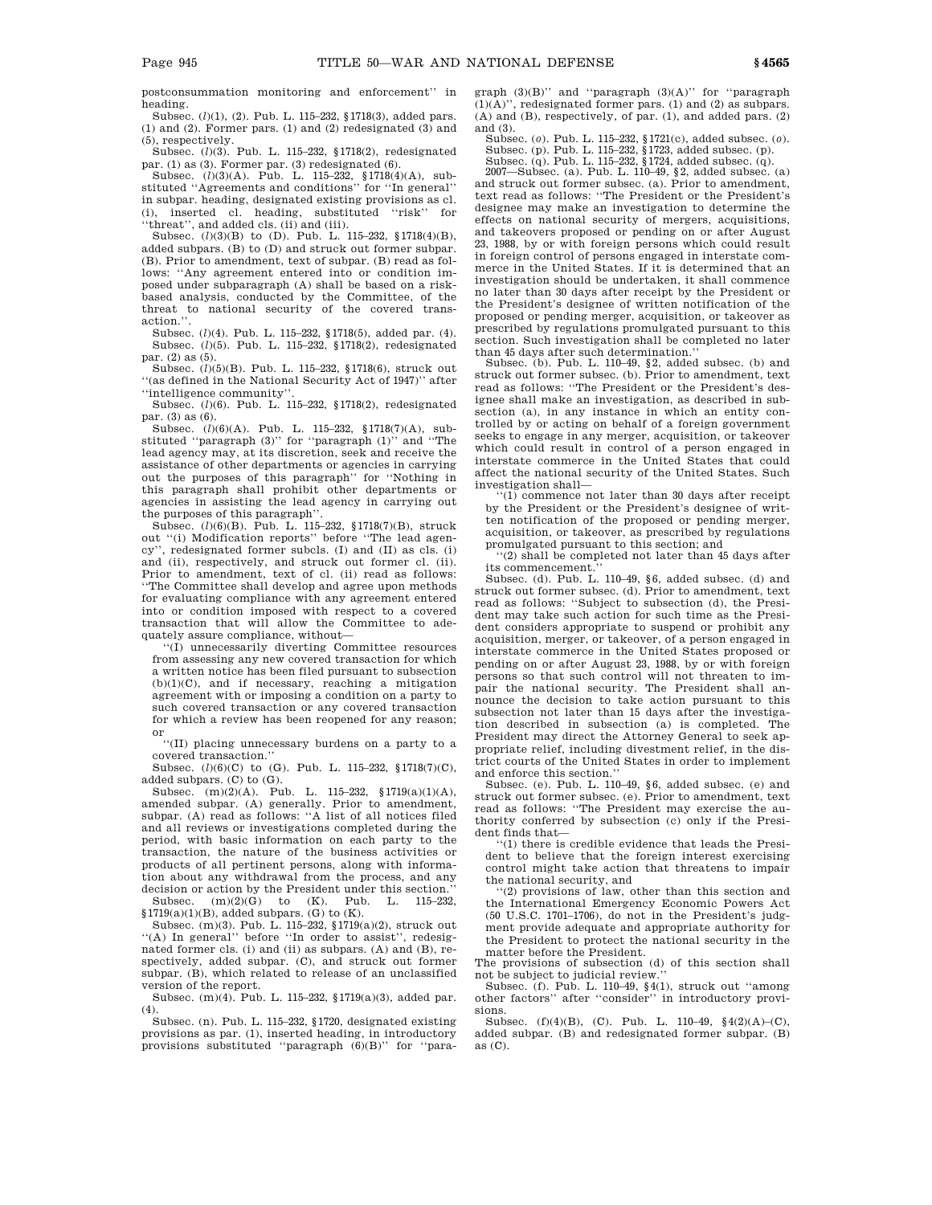postconsummation monitoring and enforcement'' in heading.

Subsec. (*l*)(1), (2). Pub. L. 115–232, §1718(3), added pars. (1) and (2). Former pars. (1) and (2) redesignated (3) and (5), respectively.

Subsec. (*l*)(3). Pub. L. 115–232, §1718(2), redesignated par. (1) as (3). Former par. (3) redesignated (6).

Subsec. (*l*)(3)(A). Pub. L. 115–232, §1718(4)(A), substituted ''Agreements and conditions'' for ''In general'' in subpar. heading, designated existing provisions as cl. (i), inserted cl. heading, substituted ''risk'' for ''threat'', and added cls. (ii) and (iii).

Subsec. (*l*)(3)(B) to (D). Pub. L. 115–232, §1718(4)(B), added subpars. (B) to (D) and struck out former subpar. (B). Prior to amendment, text of subpar. (B) read as follows: ''Any agreement entered into or condition imposed under subparagraph (A) shall be based on a riskbased analysis, conducted by the Committee, of the threat to national security of the covered transaction.''.

Subsec. (*l*)(4). Pub. L. 115–232, §1718(5), added par. (4). Subsec. (*l*)(5). Pub. L. 115–232, §1718(2), redesignated par. (2) as (5).

Subsec. (*l*)(5)(B). Pub. L. 115–232, §1718(6), struck out ''(as defined in the National Security Act of 1947)'' after ''intelligence community''.

Subsec. (*l*)(6). Pub. L. 115–232, §1718(2), redesignated par. (3) as (6).

Subsec. (*l*)(6)(A). Pub. L. 115–232, §1718(7)(A), substituted ''paragraph (3)'' for ''paragraph (1)'' and ''The lead agency may, at its discretion, seek and receive the assistance of other departments or agencies in carrying out the purposes of this paragraph'' for ''Nothing in this paragraph shall prohibit other departments or agencies in assisting the lead agency in carrying out the purposes of this paragraph''.

Subsec. (*l*)(6)(B). Pub. L. 115–232, §1718(7)(B), struck out "(i) Modification reports" before "The lead agency'', redesignated former subcls. (I) and (II) as cls. (i) and (ii), respectively, and struck out former cl. (ii). Prior to amendment, text of cl. (ii) read as follows: ''The Committee shall develop and agree upon methods for evaluating compliance with any agreement entered into or condition imposed with respect to a covered transaction that will allow the Committee to adequately assure compliance, without—

''(I) unnecessarily diverting Committee resources from assessing any new covered transaction for which a written notice has been filed pursuant to subsection  $(b)(1)(C)$ , and if necessary, reaching a mitigation agreement with or imposing a condition on a party to such covered transaction or any covered transaction for which a review has been reopened for any reason; or

''(II) placing unnecessary burdens on a party to a covered transaction.''

Subsec. (*l*)(6)(C) to (G). Pub. L. 115-232, §1718(7)(C), added subpars. (C) to (G).

Subsec. (m)(2)(A). Pub. L. 115–232, §1719(a)(1)(A), amended subpar. (A) generally. Prior to amendment, subpar. (A) read as follows: ''A list of all notices filed and all reviews or investigations completed during the period, with basic information on each party to the transaction, the nature of the business activities or products of all pertinent persons, along with information about any withdrawal from the process, and any decision or action by the President under this section.''<br>Subsec  $(m)(2)(G)$  to  $(K)$  Pub L, 115-232

Subsec. (m)(2)(G) to (K). Pub. L. 115–232,  $\S1719(a)(1)(B)$ , added subpars. (G) to (K).

Subsec. (m)(3). Pub. L. 115–232, §1719(a)(2), struck out ''(A) In general'' before ''In order to assist'', redesignated former cls. (i) and (ii) as subpars. (A) and (B), respectively, added subpar. (C), and struck out former subpar. (B), which related to release of an unclassified version of the report.

Subsec. (m)(4). Pub. L. 115–232, §1719(a)(3), added par.  $(4)$ .

Subsec. (n). Pub. L. 115–232, §1720, designated existing provisions as par. (1), inserted heading, in introductory provisions substituted ''paragraph (6)(B)'' for ''paragraph (3)(B)'' and ''paragraph (3)(A)'' for ''paragraph (1)(A)'', redesignated former pars. (1) and (2) as subpars. (A) and (B), respectively, of par. (1), and added pars. (2) and (3).

Subsec. (*o*). Pub. L. 115–232, §1721(c), added subsec. (*o*). Subsec. (p). Pub. L. 115–232, §1723, added subsec. (p). Subsec. (q). Pub. L. 115–232, §1724, added subsec. (q).

2007—Subsec. (a). Pub. L. 110–49, §2, added subsec. (a)

and struck out former subsec. (a). Prior to amendment, text read as follows: ''The President or the President's designee may make an investigation to determine the effects on national security of mergers, acquisitions, and takeovers proposed or pending on or after August 23, 1988, by or with foreign persons which could result in foreign control of persons engaged in interstate commerce in the United States. If it is determined that an investigation should be undertaken, it shall commence no later than 30 days after receipt by the President or the President's designee of written notification of the proposed or pending merger, acquisition, or takeover as prescribed by regulations promulgated pursuant to this section. Such investigation shall be completed no later than 45 days after such determination.''

Subsec. (b). Pub. L. 110–49, §2, added subsec. (b) and struck out former subsec. (b). Prior to amendment, text read as follows: ''The President or the President's designee shall make an investigation, as described in subsection (a), in any instance in which an entity controlled by or acting on behalf of a foreign government seeks to engage in any merger, acquisition, or takeover which could result in control of a person engaged in interstate commerce in the United States that could affect the national security of the United States. Such investigation shall—

''(1) commence not later than 30 days after receipt by the President or the President's designee of written notification of the proposed or pending merger, acquisition, or takeover, as prescribed by regulations promulgated pursuant to this section; and ''(2) shall be completed not later than 45 days after

its commencement.

Subsec. (d). Pub. L. 110–49, §6, added subsec. (d) and struck out former subsec. (d). Prior to amendment, text read as follows: ''Subject to subsection (d), the President may take such action for such time as the President considers appropriate to suspend or prohibit any acquisition, merger, or takeover, of a person engaged in interstate commerce in the United States proposed or pending on or after August 23, 1988, by or with foreign persons so that such control will not threaten to impair the national security. The President shall announce the decision to take action pursuant to this subsection not later than 15 days after the investigation described in subsection (a) is completed. The President may direct the Attorney General to seek appropriate relief, including divestment relief, in the district courts of the United States in order to implement and enforce this section.''

Subsec. (e). Pub. L. 110–49, §6, added subsec. (e) and struck out former subsec. (e). Prior to amendment, text read as follows: ''The President may exercise the authority conferred by subsection (c) only if the President finds that—

''(1) there is credible evidence that leads the President to believe that the foreign interest exercising control might take action that threatens to impair the national security, and

'(2) provisions of law, other than this section and the International Emergency Economic Powers Act (50 U.S.C. 1701–1706), do not in the President's judgment provide adequate and appropriate authority for the President to protect the national security in the matter before the President.

The provisions of subsection (d) of this section shall not be subject to judicial review.''

Subsec. (f). Pub. L. 110–49, §4(1), struck out ''among other factors'' after ''consider'' in introductory provisions.

Subsec. (f)(4)(B), (C). Pub. L. 110–49,  $\{4(2)(A)-(C),$ added subpar. (B) and redesignated former subpar. (B) as (C).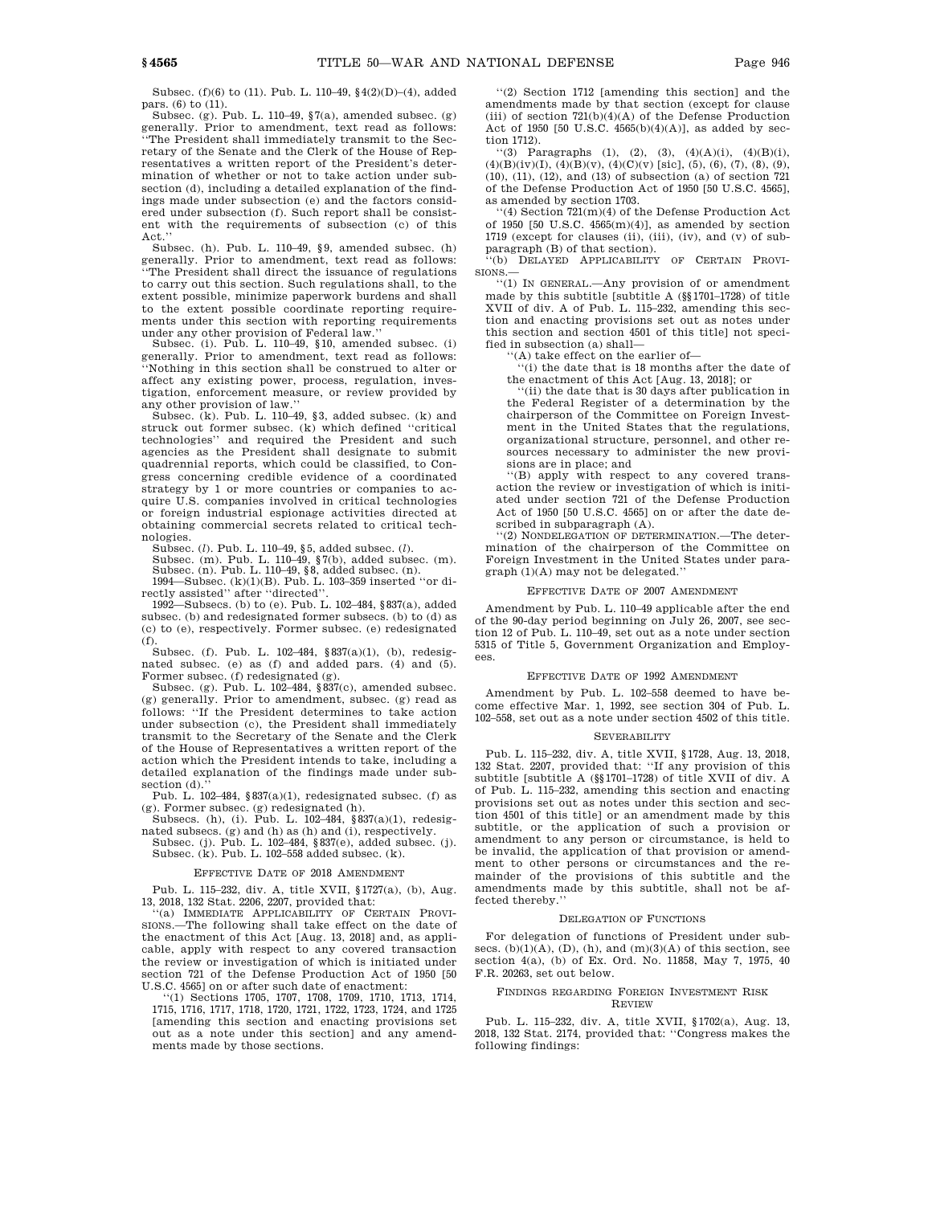Subsec. (f)(6) to (11). Pub. L. 110–49, §4(2)(D)–(4), added pars. (6) to (11).

Subsec. (g). Pub. L. 110–49, §7(a), amended subsec. (g) generally. Prior to amendment, text read as follows: ''The President shall immediately transmit to the Secretary of the Senate and the Clerk of the House of Representatives a written report of the President's determination of whether or not to take action under subsection (d), including a detailed explanation of the findings made under subsection (e) and the factors considered under subsection (f). Such report shall be consistent with the requirements of subsection (c) of this Act.''

Subsec. (h). Pub. L. 110–49, §9, amended subsec. (h) generally. Prior to amendment, text read as follows: ''The President shall direct the issuance of regulations to carry out this section. Such regulations shall, to the extent possible, minimize paperwork burdens and shall to the extent possible coordinate reporting requirements under this section with reporting requirements under any other provision of Federal law.

Subsec. (i). Pub. L. 110–49, §10, amended subsec. (i) generally. Prior to amendment, text read as follows: ''Nothing in this section shall be construed to alter or affect any existing power, process, regulation, investigation, enforcement measure, or review provided by any other provision of law.''

Subsec.  $(k)$ . Pub. L. 110–49, §3, added subsec.  $(k)$  and struck out former subsec. (k) which defined ''critical technologies'' and required the President and such agencies as the President shall designate to submit quadrennial reports, which could be classified, to Congress concerning credible evidence of a coordinated strategy by 1 or more countries or companies to acquire U.S. companies involved in critical technologies or foreign industrial espionage activities directed at obtaining commercial secrets related to critical technologies.

Subsec. (*l*). Pub. L. 110–49, §5, added subsec. (*l*). Subsec. (m). Pub. L. 110–49, §7(b), added subsec. (m). Subsec. (n). Pub. L. 110–49, §8, added subsec. (n).

1994—Subsec. (k)(1)(B). Pub. L. 103–359 inserted ''or directly assisted'' after ''directed''.

1992—Subsecs. (b) to (e). Pub. L. 102–484, §837(a), added subsec. (b) and redesignated former subsecs. (b) to (d) as (c) to (e), respectively. Former subsec. (e) redesignated (f).

Subsec. (f). Pub. L. 102–484, §837(a)(1), (b), redesignated subsec. (e) as (f) and added pars. (4) and (5). Former subsec. (f) redesignated  $\varphi$ ).

Subsec. (g). Pub. L. 102–484,  $\S 837(c)$ , amended subsec. (g) generally. Prior to amendment, subsec. (g) read as follows: ''If the President determines to take action under subsection (c), the President shall immediately transmit to the Secretary of the Senate and the Clerk of the House of Representatives a written report of the action which the President intends to take, including a detailed explanation of the findings made under subsection (d).

Pub. L. 102–484,  $837(a)(1)$ , redesignated subsec. (f) as (g). Former subsec. (g) redesignated (h). Subsecs. (h), (i). Pub. L. 102–484, §837(a)(1), redesig-

nated subsecs. (g) and (h) as (h) and (i), respectively.

Subsec. (j). Pub. L. 102–484, §837(e), added subsec. (j). Subsec. (k). Pub. L. 102–558 added subsec. (k).

### EFFECTIVE DATE OF 2018 AMENDMENT

Pub. L. 115–232, div. A, title XVII, §1727(a), (b), Aug. 13, 2018, 132 Stat. 2206, 2207, provided that:

'(a) IMMEDIATE APPLICABILITY OF CERTAIN PROVI-SIONS.—The following shall take effect on the date of the enactment of this Act [Aug. 13, 2018] and, as applicable, apply with respect to any covered transaction the review or investigation of which is initiated under section 721 of the Defense Production Act of 1950 [50

U.S.C. 4565] on or after such date of enactment: ''(1) Sections 1705, 1707, 1708, 1709, 1710, 1713, 1714, 1715, 1716, 1717, 1718, 1720, 1721, 1722, 1723, 1724, and 1725 [amending this section and enacting provisions set out as a note under this section] and any amendments made by those sections.

''(2) Section 1712 [amending this section] and the amendments made by that section (except for clause (iii) of section  $721(b)(4)(A)$  of the Defense Production Act of 1950 [50 U.S.C.  $4565(b)(4)(A)$ ], as added by section 1712).

'(3) Paragraphs (1), (2), (3),  $(4)(A)(i)$ ,  $(4)(B)(i)$ ,  $(4)(B)(iv)(I), (4)(B)(v), (4)(C)(v)$  [sic], (5), (6), (7), (8), (9), (10), (11), (12), and (13) of subsection (a) of section 721 of the Defense Production Act of 1950 [50 U.S.C. 4565], as amended by section 1703.

''(4) Section 721(m)(4) of the Defense Production Act of 1950 [50 U.S.C. 4565(m)(4)], as amended by section 1719 (except for clauses (ii), (iii), (iv), and (v) of subparagraph (B) of that section).

''(b) DELAYED APPLICABILITY OF CERTAIN PROVI-SIONS.—

''(1) IN GENERAL.—Any provision of or amendment made by this subtitle [subtitle A (§§1701–1728) of title XVII of div. A of Pub. L. 115–232, amending this section and enacting provisions set out as notes under this section and section 4501 of this title] not specified in subsection (a) shall—

''(A) take effect on the earlier of—

''(i) the date that is 18 months after the date of the enactment of this Act [Aug. 13, 2018]; or

''(ii) the date that is 30 days after publication in the Federal Register of a determination by the chairperson of the Committee on Foreign Investment in the United States that the regulations, organizational structure, personnel, and other resources necessary to administer the new provisions are in place; and

''(B) apply with respect to any covered transaction the review or investigation of which is initiated under section 721 of the Defense Production Act of 1950 [50 U.S.C. 4565] on or after the date described in subparagraph  $(A)$ .

''(2) NONDELEGATION OF DETERMINATION.—The determination of the chairperson of the Committee on Foreign Investment in the United States under paragraph (1)(A) may not be delegated.''

### EFFECTIVE DATE OF 2007 AMENDMENT

Amendment by Pub. L. 110–49 applicable after the end of the 90-day period beginning on July 26, 2007, see section 12 of Pub. L. 110–49, set out as a note under section 5315 of Title 5, Government Organization and Employees.

### EFFECTIVE DATE OF 1992 AMENDMENT

Amendment by Pub. L. 102–558 deemed to have become effective Mar. 1, 1992, see section 304 of Pub. L. 102–558, set out as a note under section 4502 of this title.

### **SEVERABILITY**

Pub. L. 115–232, div. A, title XVII, §1728, Aug. 13, 2018, 132 Stat. 2207, provided that: ''If any provision of this subtitle [subtitle A (§§1701–1728) of title XVII of div. A of Pub. L. 115–232, amending this section and enacting provisions set out as notes under this section and section 4501 of this title] or an amendment made by this subtitle, or the application of such a provision or amendment to any person or circumstance, is held to be invalid, the application of that provision or amendment to other persons or circumstances and the remainder of the provisions of this subtitle and the amendments made by this subtitle, shall not be affected thereby.

### DELEGATION OF FUNCTIONS

For delegation of functions of President under subsecs.  $(b)(1)(A)$ ,  $(D)$ ,  $(h)$ , and  $(m)(3)(A)$  of this section, see section 4(a), (b) of Ex. Ord. No. 11858, May 7, 1975, 40 F.R. 20263, set out below.

### FINDINGS REGARDING FOREIGN INVESTMENT RISK REVIEW

Pub. L. 115–232, div. A, title XVII, §1702(a), Aug. 13, 2018, 132 Stat. 2174, provided that: ''Congress makes the following findings: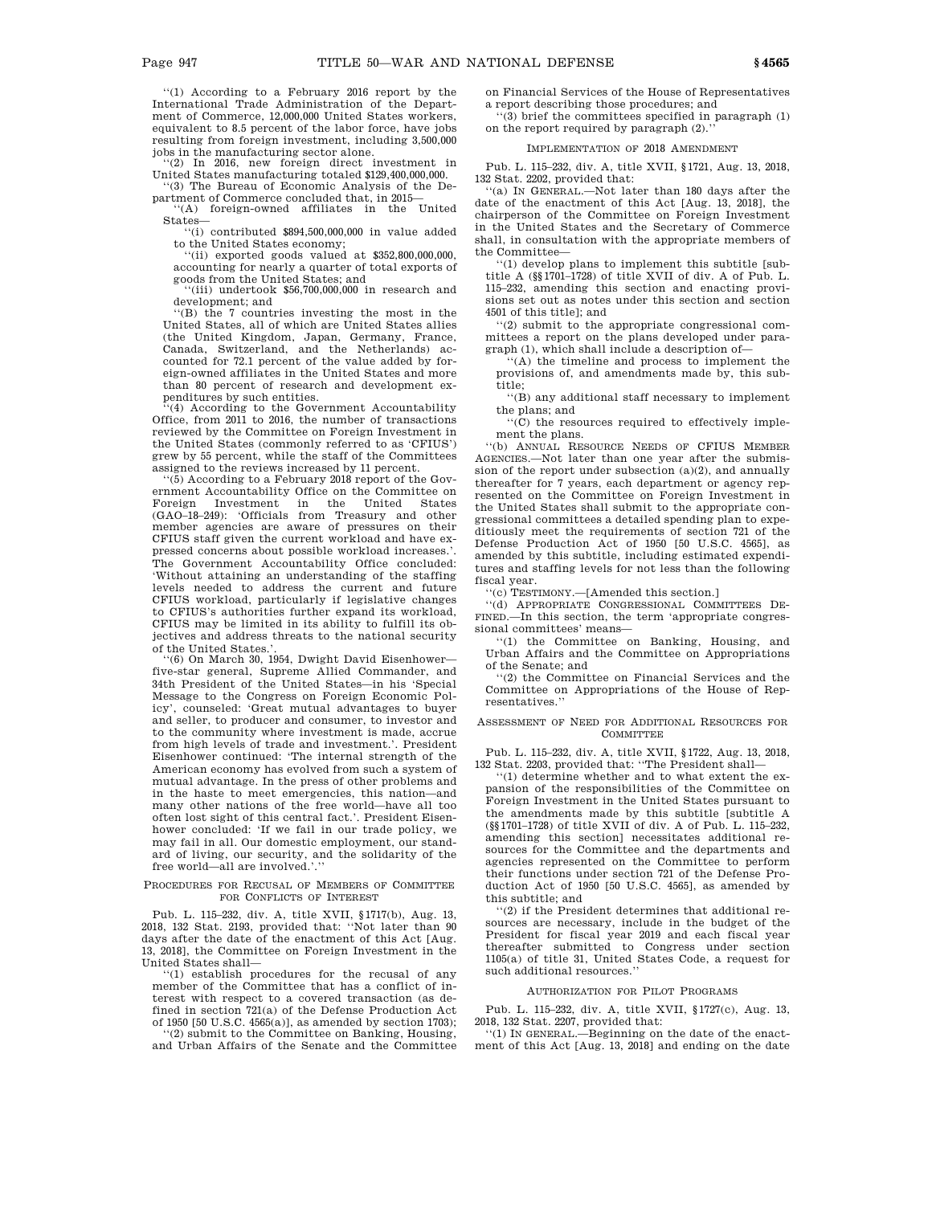''(1) According to a February 2016 report by the International Trade Administration of the Department of Commerce, 12,000,000 United States workers, equivalent to 8.5 percent of the labor force, have jobs resulting from foreign investment, including 3,500,000 jobs in the manufacturing sector alone.

''(2) In 2016, new foreign direct investment in United States manufacturing totaled \$129,400,000,000. ''(3) The Bureau of Economic Analysis of the De-

partment of Commerce concluded that, in 2015— '(A) foreign-owned affiliates in the United States—

''(i) contributed \$894,500,000,000 in value added to the United States economy;

''(ii) exported goods valued at \$352,800,000,000, accounting for nearly a quarter of total exports of goods from the United States; and

''(iii) undertook \$56,700,000,000 in research and development; and

''(B) the 7 countries investing the most in the United States, all of which are United States allies (the United Kingdom, Japan, Germany, France, Canada, Switzerland, and the Netherlands) accounted for 72.1 percent of the value added by foreign-owned affiliates in the United States and more than 80 percent of research and development expenditures by such entities.

'(4) According to the Government Accountability Office, from 2011 to 2016, the number of transactions reviewed by the Committee on Foreign Investment in the United States (commonly referred to as 'CFIUS') grew by 55 percent, while the staff of the Committees

assigned to the reviews increased by 11 percent. ''(5) According to a February 2018 report of the Government Accountability Office on the Committee on Foreign Investment in the United States (GAO–18–249): 'Officials from Treasury and other member agencies are aware of pressures on their CFIUS staff given the current workload and have expressed concerns about possible workload increases.'. The Government Accountability Office concluded: 'Without attaining an understanding of the staffing levels needed to address the current and future CFIUS workload, particularly if legislative changes to CFIUS's authorities further expand its workload, CFIUS may be limited in its ability to fulfill its objectives and address threats to the national security

of the United States.'. ''(6) On March 30, 1954, Dwight David Eisenhower five-star general, Supreme Allied Commander, and 34th President of the United States—in his 'Special Message to the Congress on Foreign Economic Policy', counseled: 'Great mutual advantages to buyer and seller, to producer and consumer, to investor and to the community where investment is made, accrue from high levels of trade and investment.'. President Eisenhower continued: 'The internal strength of the American economy has evolved from such a system of mutual advantage. In the press of other problems and in the haste to meet emergencies, this nation—and many other nations of the free world—have all too often lost sight of this central fact.'. President Eisenhower concluded: 'If we fail in our trade policy, we may fail in all. Our domestic employment, our standard of living, our security, and the solidarity of the free world—all are involved.'.''

### PROCEDURES FOR RECUSAL OF MEMBERS OF COMMITTEE FOR CONFLICTS OF INTEREST

Pub. L. 115–232, div. A, title XVII, §1717(b), Aug. 13, 2018, 132 Stat. 2193, provided that: ''Not later than 90 days after the date of the enactment of this Act [Aug. 13, 2018], the Committee on Foreign Investment in the United States shall—

''(1) establish procedures for the recusal of any member of the Committee that has a conflict of interest with respect to a covered transaction (as defined in section 721(a) of the Defense Production Act of 1950 [50 U.S.C. 4565(a)], as amended by section 1703); ''(2) submit to the Committee on Banking, Housing,

and Urban Affairs of the Senate and the Committee

on Financial Services of the House of Representatives a report describing those procedures; and

''(3) brief the committees specified in paragraph (1) on the report required by paragraph  $(2)$ .

# IMPLEMENTATION OF 2018 AMENDMENT

Pub. L. 115–232, div. A, title XVII, §1721, Aug. 13, 2018, 132 Stat. 2202, provided that:

''(a) IN GENERAL.—Not later than 180 days after the date of the enactment of this Act [Aug. 13, 2018], the chairperson of the Committee on Foreign Investment in the United States and the Secretary of Commerce shall, in consultation with the appropriate members of the Committee—

''(1) develop plans to implement this subtitle [subtitle A (§§1701–1728) of title XVII of div. A of Pub. L. 115–232, amending this section and enacting provisions set out as notes under this section and section 4501 of this title]; and

''(2) submit to the appropriate congressional committees a report on the plans developed under paragraph (1), which shall include a description of—

''(A) the timeline and process to implement the provisions of, and amendments made by, this subtitle;

''(B) any additional staff necessary to implement the plans; and

''(C) the resources required to effectively implement the plans.

''(b) ANNUAL RESOURCE NEEDS OF CFIUS MEMBER AGENCIES.—Not later than one year after the submission of the report under subsection (a)(2), and annually thereafter for 7 years, each department or agency represented on the Committee on Foreign Investment in the United States shall submit to the appropriate congressional committees a detailed spending plan to expeditiously meet the requirements of section 721 of the Defense Production Act of 1950 [50 U.S.C. 4565], as amended by this subtitle, including estimated expenditures and staffing levels for not less than the following fiscal year.

''(c) TESTIMONY.—[Amended this section.]

''(d) APPROPRIATE CONGRESSIONAL COMMITTEES DE-FINED.—In this section, the term 'appropriate congressional committees' means—

''(1) the Committee on Banking, Housing, and Urban Affairs and the Committee on Appropriations of the Senate; and

''(2) the Committee on Financial Services and the Committee on Appropriations of the House of Representatives.''

### ASSESSMENT OF NEED FOR ADDITIONAL RESOURCES FOR **COMMITTEE**

Pub. L. 115–232, div. A, title XVII, §1722, Aug. 13, 2018, 132 Stat. 2203, provided that: ''The President shall—

''(1) determine whether and to what extent the expansion of the responsibilities of the Committee on Foreign Investment in the United States pursuant to the amendments made by this subtitle [subtitle A (§§1701–1728) of title XVII of div. A of Pub. L. 115–232, amending this section] necessitates additional resources for the Committee and the departments and agencies represented on the Committee to perform their functions under section 721 of the Defense Production Act of 1950 [50 U.S.C. 4565], as amended by this subtitle; and

''(2) if the President determines that additional resources are necessary, include in the budget of the President for fiscal year 2019 and each fiscal year thereafter submitted to Congress under section 1105(a) of title 31, United States Code, a request for such additional resources.''

### AUTHORIZATION FOR PILOT PROGRAMS

Pub. L. 115–232, div. A, title XVII, §1727(c), Aug. 13, 2018, 132 Stat. 2207, provided that:

''(1) IN GENERAL.—Beginning on the date of the enactment of this Act [Aug. 13, 2018] and ending on the date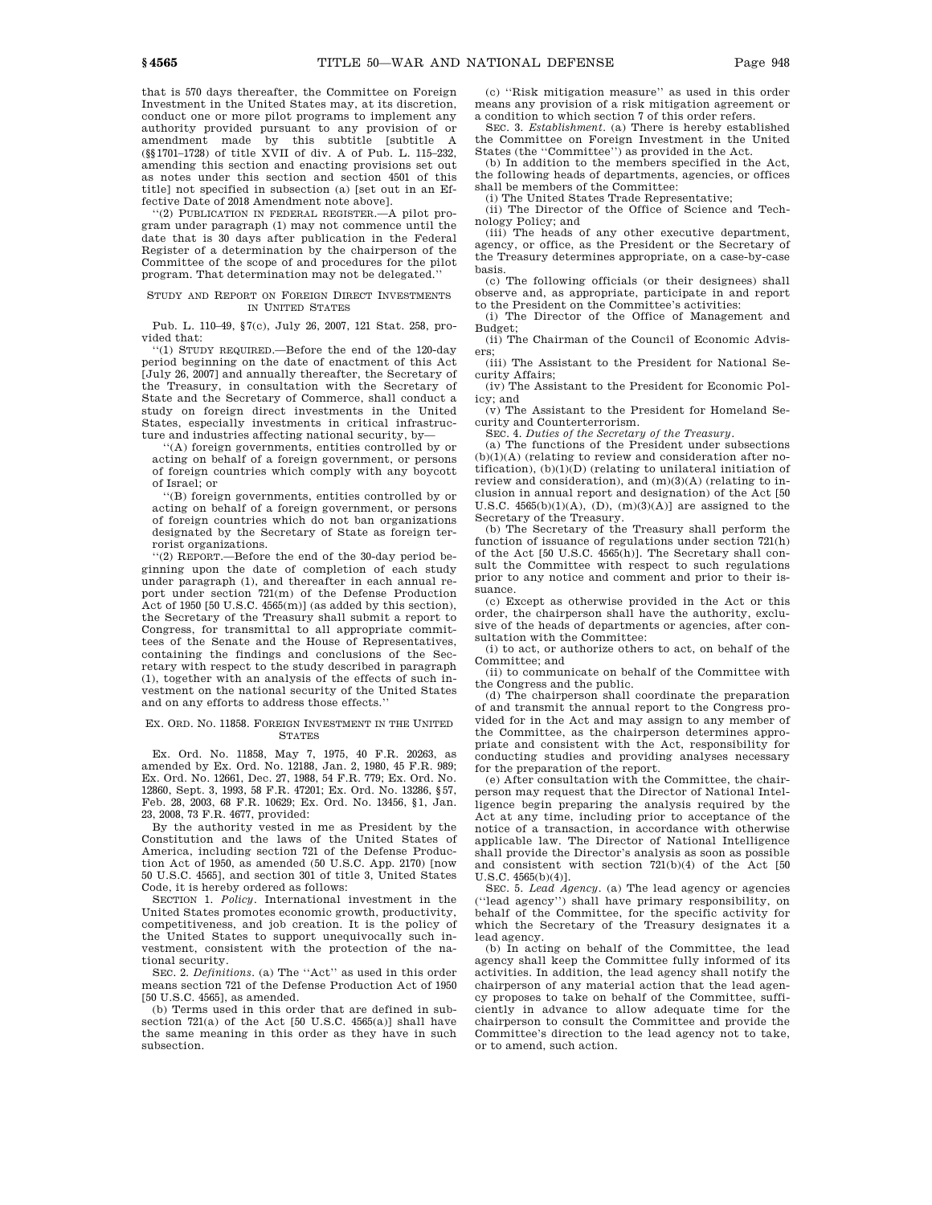that is 570 days thereafter, the Committee on Foreign Investment in the United States may, at its discretion, conduct one or more pilot programs to implement any authority provided pursuant to any provision of or amendment made by this subtitle [subtitle A (§§1701–1728) of title XVII of div. A of Pub. L. 115–232, amending this section and enacting provisions set out as notes under this section and section 4501 of this title] not specified in subsection (a) [set out in an Effective Date of 2018 Amendment note above].

''(2) PUBLICATION IN FEDERAL REGISTER.—A pilot program under paragraph (1) may not commence until the date that is 30 days after publication in the Federal Register of a determination by the chairperson of the Committee of the scope of and procedures for the pilot program. That determination may not be delegated.''

### STUDY AND REPORT ON FOREIGN DIRECT INVESTMENTS IN UNITED STATES

Pub. L. 110–49, §7(c), July 26, 2007, 121 Stat. 258, provided that:

''(1) STUDY REQUIRED.—Before the end of the 120-day period beginning on the date of enactment of this Act [July 26, 2007] and annually thereafter, the Secretary of the Treasury, in consultation with the Secretary of State and the Secretary of Commerce, shall conduct a study on foreign direct investments in the United States, especially investments in critical infrastructure and industries affecting national security, by—

''(A) foreign governments, entities controlled by or acting on behalf of a foreign government, or persons of foreign countries which comply with any boycott of Israel; or

''(B) foreign governments, entities controlled by or acting on behalf of a foreign government, or persons of foreign countries which do not ban organizations designated by the Secretary of State as foreign terrorist organizations.

''(2) REPORT.—Before the end of the 30-day period beginning upon the date of completion of each study under paragraph (1), and thereafter in each annual report under section 721(m) of the Defense Production Act of 1950 [50 U.S.C. 4565(m)] (as added by this section), the Secretary of the Treasury shall submit a report to Congress, for transmittal to all appropriate committees of the Senate and the House of Representatives, containing the findings and conclusions of the Secretary with respect to the study described in paragraph (1), together with an analysis of the effects of such investment on the national security of the United States and on any efforts to address those effects.''

### EX. ORD. NO. 11858. FOREIGN INVESTMENT IN THE UNITED **STATES**

Ex. Ord. No. 11858, May 7, 1975, 40 F.R. 20263, as amended by Ex. Ord. No. 12188, Jan. 2, 1980, 45 F.R. 989; Ex. Ord. No. 12661, Dec. 27, 1988, 54 F.R. 779; Ex. Ord. No. 12860, Sept. 3, 1993, 58 F.R. 47201; Ex. Ord. No. 13286, §57, Feb. 28, 2003, 68 F.R. 10629; Ex. Ord. No. 13456, §1, Jan. 23, 2008, 73 F.R. 4677, provided:

By the authority vested in me as President by the Constitution and the laws of the United States of America, including section 721 of the Defense Production Act of 1950, as amended (50 U.S.C. App. 2170) [now 50 U.S.C. 4565], and section 301 of title 3, United States Code, it is hereby ordered as follows:

SECTION 1. *Policy*. International investment in the United States promotes economic growth, productivity, competitiveness, and job creation. It is the policy of the United States to support unequivocally such investment, consistent with the protection of the national security.

SEC. 2. *Definitions*. (a) The ''Act'' as used in this order means section 721 of the Defense Production Act of 1950 [50 U.S.C. 4565], as amended.

(b) Terms used in this order that are defined in subsection 721(a) of the Act [50 U.S.C. 4565(a)] shall have the same meaning in this order as they have in such subsection.

(c) ''Risk mitigation measure'' as used in this order means any provision of a risk mitigation agreement or a condition to which section 7 of this order refers.

SEC. 3. *Establishment*. (a) There is hereby established the Committee on Foreign Investment in the United States (the ''Committee'') as provided in the Act.

(b) In addition to the members specified in the Act, the following heads of departments, agencies, or offices shall be members of the Committee: (i) The United States Trade Representative;

(ii) The Director of the Office of Science and Technology Policy; and

(iii) The heads of any other executive department, agency, or office, as the President or the Secretary of the Treasury determines appropriate, on a case-by-case basis.

(c) The following officials (or their designees) shall observe and, as appropriate, participate in and report to the President on the Committee's activities:

(i) The Director of the Office of Management and Budget;

(ii) The Chairman of the Council of Economic Advisers;

(iii) The Assistant to the President for National Security Affairs;

(iv) The Assistant to the President for Economic Policy; and

(v) The Assistant to the President for Homeland Security and Counterterrorism.

SEC. 4. *Duties of the Secretary of the Treasury.*

(a) The functions of the President under subsections  $(b)(1)(A)$  (relating to review and consideration after notification),  $(b)(1)(D)$  (relating to unilateral initiation of review and consideration), and (m)(3)(A) (relating to inclusion in annual report and designation) of the Act [50 U.S.C.  $4565(b)(1)(A)$ ,  $(D)$ ,  $(m)(3)(A)$ ] are assigned to the Secretary of the Treasury.

(b) The Secretary of the Treasury shall perform the function of issuance of regulations under section 721(h) of the Act [50 U.S.C. 4565(h)]. The Secretary shall consult the Committee with respect to such regulations prior to any notice and comment and prior to their issuance.

(c) Except as otherwise provided in the Act or this order, the chairperson shall have the authority, exclusive of the heads of departments or agencies, after consultation with the Committee:

(i) to act, or authorize others to act, on behalf of the Committee; and

(ii) to communicate on behalf of the Committee with the Congress and the public.

(d) The chairperson shall coordinate the preparation of and transmit the annual report to the Congress provided for in the Act and may assign to any member of the Committee, as the chairperson determines appropriate and consistent with the Act, responsibility for conducting studies and providing analyses necessary for the preparation of the report.

(e) After consultation with the Committee, the chairperson may request that the Director of National Intelligence begin preparing the analysis required by the Act at any time, including prior to acceptance of the notice of a transaction, in accordance with otherwise applicable law. The Director of National Intelligence shall provide the Director's analysis as soon as possible and consistent with section 721(b)(4) of the Act [50

U.S.C. 4565(b)(4)]. SEC. 5. *Lead Agency*. (a) The lead agency or agencies (''lead agency'') shall have primary responsibility, on behalf of the Committee, for the specific activity for which the Secretary of the Treasury designates it a lead agency.

(b) In acting on behalf of the Committee, the lead agency shall keep the Committee fully informed of its activities. In addition, the lead agency shall notify the chairperson of any material action that the lead agency proposes to take on behalf of the Committee, sufficiently in advance to allow adequate time for the chairperson to consult the Committee and provide the Committee's direction to the lead agency not to take, or to amend, such action.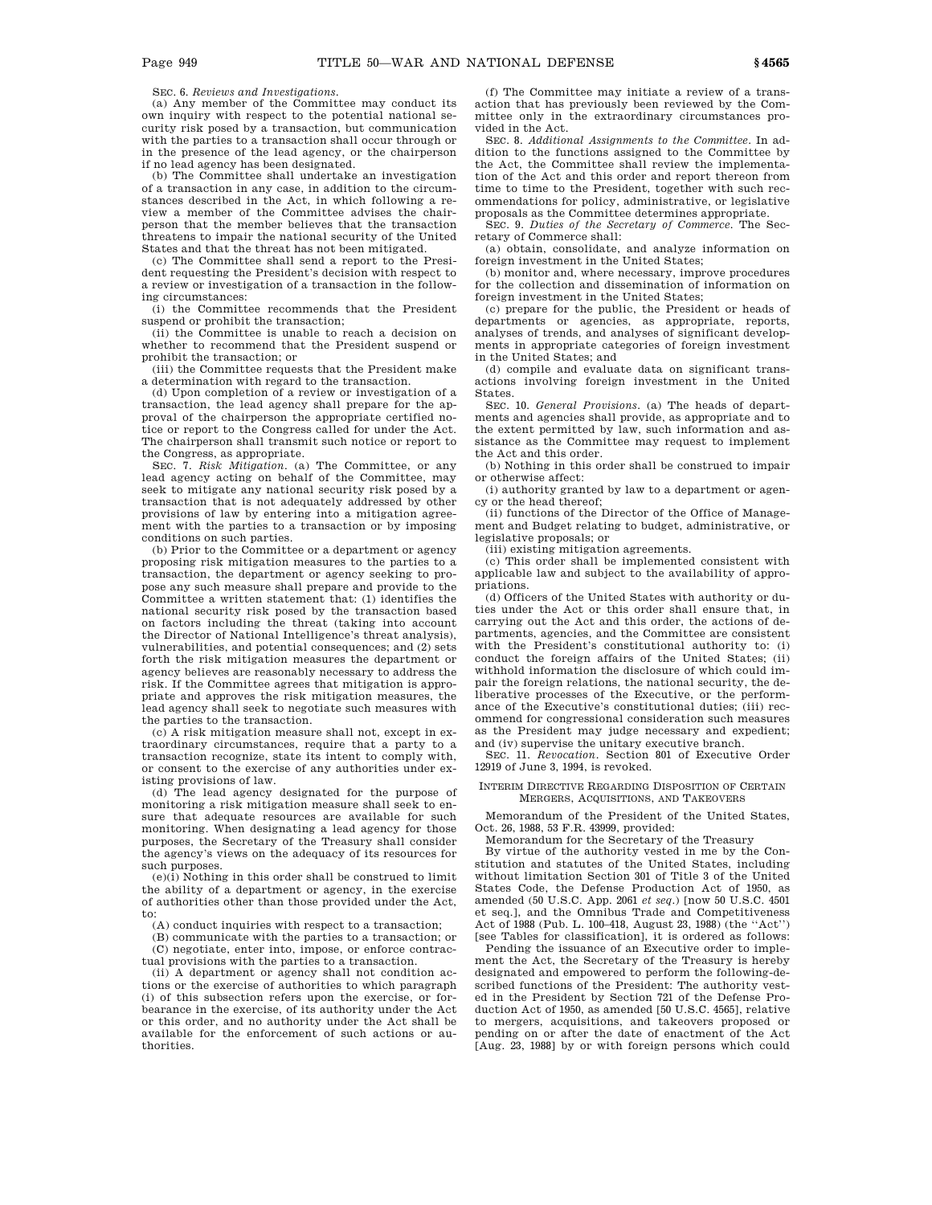SEC. 6. *Reviews and Investigations.*

(a) Any member of the Committee may conduct its own inquiry with respect to the potential national security risk posed by a transaction, but communication with the parties to a transaction shall occur through or in the presence of the lead agency, or the chairperson if no lead agency has been designated.

(b) The Committee shall undertake an investigation of a transaction in any case, in addition to the circumstances described in the Act, in which following a review a member of the Committee advises the chairperson that the member believes that the transaction threatens to impair the national security of the United States and that the threat has not been mitigated.

(c) The Committee shall send a report to the President requesting the President's decision with respect to a review or investigation of a transaction in the following circumstances:

(i) the Committee recommends that the President suspend or prohibit the transaction;

(ii) the Committee is unable to reach a decision on whether to recommend that the President suspend or prohibit the transaction; or

(iii) the Committee requests that the President make a determination with regard to the transaction.

(d) Upon completion of a review or investigation of a transaction, the lead agency shall prepare for the approval of the chairperson the appropriate certified notice or report to the Congress called for under the Act. The chairperson shall transmit such notice or report to the Congress, as appropriate.

SEC. 7. *Risk Mitigation*. (a) The Committee, or any lead agency acting on behalf of the Committee, may seek to mitigate any national security risk posed by a transaction that is not adequately addressed by other provisions of law by entering into a mitigation agreement with the parties to a transaction or by imposing conditions on such parties.

(b) Prior to the Committee or a department or agency proposing risk mitigation measures to the parties to a transaction, the department or agency seeking to propose any such measure shall prepare and provide to the Committee a written statement that: (1) identifies the national security risk posed by the transaction based on factors including the threat (taking into account the Director of National Intelligence's threat analysis), vulnerabilities, and potential consequences; and (2) sets forth the risk mitigation measures the department or agency believes are reasonably necessary to address the risk. If the Committee agrees that mitigation is appropriate and approves the risk mitigation measures, the lead agency shall seek to negotiate such measures with the parties to the transaction.

(c) A risk mitigation measure shall not, except in extraordinary circumstances, require that a party to a transaction recognize, state its intent to comply with, or consent to the exercise of any authorities under existing provisions of law.

(d) The lead agency designated for the purpose of monitoring a risk mitigation measure shall seek to ensure that adequate resources are available for such monitoring. When designating a lead agency for those purposes, the Secretary of the Treasury shall consider the agency's views on the adequacy of its resources for such purposes.

(e)(i) Nothing in this order shall be construed to limit the ability of a department or agency, in the exercise of authorities other than those provided under the Act, to:

(A) conduct inquiries with respect to a transaction;

(B) communicate with the parties to a transaction; or (C) negotiate, enter into, impose, or enforce contractual provisions with the parties to a transaction.

(ii) A department or agency shall not condition actions or the exercise of authorities to which paragraph (i) of this subsection refers upon the exercise, or forbearance in the exercise, of its authority under the Act or this order, and no authority under the Act shall be available for the enforcement of such actions or authorities.

(f) The Committee may initiate a review of a transaction that has previously been reviewed by the Committee only in the extraordinary circumstances provided in the Act.

SEC. 8. *Additional Assignments to the Committee*. In addition to the functions assigned to the Committee by the Act, the Committee shall review the implementation of the Act and this order and report thereon from time to time to the President, together with such recommendations for policy, administrative, or legislative proposals as the Committee determines appropriate.

SEC. 9. *Duties of the Secretary of Commerce*. The Secretary of Commerce shall:

(a) obtain, consolidate, and analyze information on foreign investment in the United States;

(b) monitor and, where necessary, improve procedures for the collection and dissemination of information on foreign investment in the United States;

(c) prepare for the public, the President or heads of departments or agencies, as appropriate, reports, analyses of trends, and analyses of significant developments in appropriate categories of foreign investment in the United States; and

(d) compile and evaluate data on significant transactions involving foreign investment in the United States.

SEC. 10. *General Provisions*. (a) The heads of departments and agencies shall provide, as appropriate and to the extent permitted by law, such information and assistance as the Committee may request to implement the Act and this order.

(b) Nothing in this order shall be construed to impair or otherwise affect:

(i) authority granted by law to a department or agency or the head thereof;

(ii) functions of the Director of the Office of Management and Budget relating to budget, administrative, or legislative proposals; or

(iii) existing mitigation agreements.

(c) This order shall be implemented consistent with applicable law and subject to the availability of appropriations.

(d) Officers of the United States with authority or duties under the Act or this order shall ensure that, in carrying out the Act and this order, the actions of departments, agencies, and the Committee are consistent with the President's constitutional authority to: (i) conduct the foreign affairs of the United States; (ii) withhold information the disclosure of which could impair the foreign relations, the national security, the deliberative processes of the Executive, or the performance of the Executive's constitutional duties; (iii) recommend for congressional consideration such measures as the President may judge necessary and expedient; and (iv) supervise the unitary executive branch.

SEC. 11. *Revocation*. Section 801 of Executive Order 12919 of June 3, 1994, is revoked.

### INTERIM DIRECTIVE REGARDING DISPOSITION OF CERTAIN MERGERS, ACQUISITIONS, AND TAKEOVERS

Memorandum of the President of the United States, Oct. 26, 1988, 53 F.R. 43999, provided:

Memorandum for the Secretary of the Treasury

By virtue of the authority vested in me by the Constitution and statutes of the United States, including without limitation Section 301 of Title 3 of the United States Code, the Defense Production Act of 1950, as amended (50 U.S.C. App. 2061 *et seq*.) [now 50 U.S.C. 4501 et seq.], and the Omnibus Trade and Competitiveness Act of 1988 (Pub. L. 100–418, August 23, 1988) (the ''Act'') [see Tables for classification], it is ordered as follows:

Pending the issuance of an Executive order to implement the Act, the Secretary of the Treasury is hereby designated and empowered to perform the following-described functions of the President: The authority vested in the President by Section 721 of the Defense Production Act of 1950, as amended [50 U.S.C. 4565], relative to mergers, acquisitions, and takeovers proposed or pending on or after the date of enactment of the Act [Aug. 23, 1988] by or with foreign persons which could